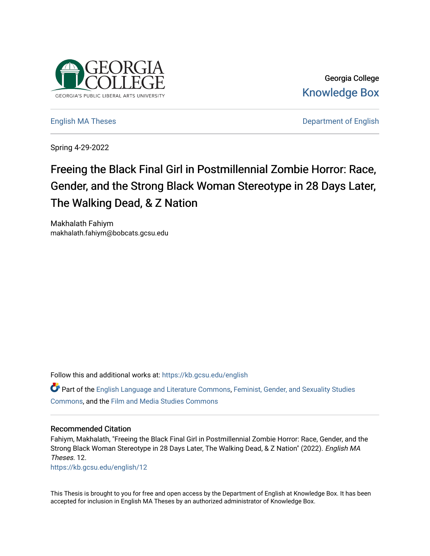

Georgia College [Knowledge Box](https://kb.gcsu.edu/) 

[English MA Theses](https://kb.gcsu.edu/english) **English MA Theses Department of English** 

Spring 4-29-2022

# Freeing the Black Final Girl in Postmillennial Zombie Horror: Race, Gender, and the Strong Black Woman Stereotype in 28 Days Later, The Walking Dead, & Z Nation

Makhalath Fahiym makhalath.fahiym@bobcats.gcsu.edu

Follow this and additional works at: [https://kb.gcsu.edu/english](https://kb.gcsu.edu/english?utm_source=kb.gcsu.edu%2Fenglish%2F12&utm_medium=PDF&utm_campaign=PDFCoverPages)

Part of the [English Language and Literature Commons](https://network.bepress.com/hgg/discipline/455?utm_source=kb.gcsu.edu%2Fenglish%2F12&utm_medium=PDF&utm_campaign=PDFCoverPages), [Feminist, Gender, and Sexuality Studies](https://network.bepress.com/hgg/discipline/559?utm_source=kb.gcsu.edu%2Fenglish%2F12&utm_medium=PDF&utm_campaign=PDFCoverPages)  [Commons](https://network.bepress.com/hgg/discipline/559?utm_source=kb.gcsu.edu%2Fenglish%2F12&utm_medium=PDF&utm_campaign=PDFCoverPages), and the [Film and Media Studies Commons](https://network.bepress.com/hgg/discipline/563?utm_source=kb.gcsu.edu%2Fenglish%2F12&utm_medium=PDF&utm_campaign=PDFCoverPages) 

# Recommended Citation

Fahiym, Makhalath, "Freeing the Black Final Girl in Postmillennial Zombie Horror: Race, Gender, and the Strong Black Woman Stereotype in 28 Days Later, The Walking Dead, & Z Nation" (2022). English MA Theses. 12.

[https://kb.gcsu.edu/english/12](https://kb.gcsu.edu/english/12?utm_source=kb.gcsu.edu%2Fenglish%2F12&utm_medium=PDF&utm_campaign=PDFCoverPages) 

This Thesis is brought to you for free and open access by the Department of English at Knowledge Box. It has been accepted for inclusion in English MA Theses by an authorized administrator of Knowledge Box.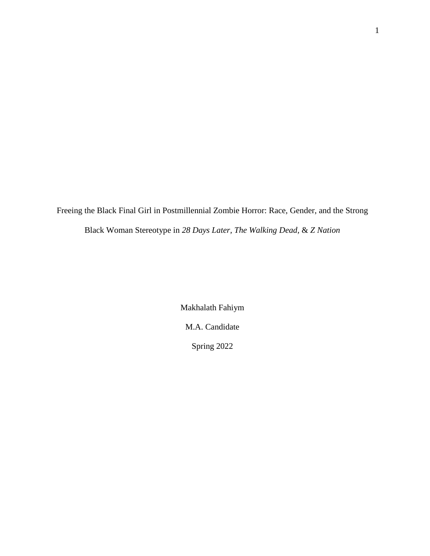Freeing the Black Final Girl in Postmillennial Zombie Horror: Race, Gender, and the Strong Black Woman Stereotype in *28 Days Later, The Walking Dead,* & *Z Nation*

> Makhalath Fahiym M.A. Candidate Spring 2022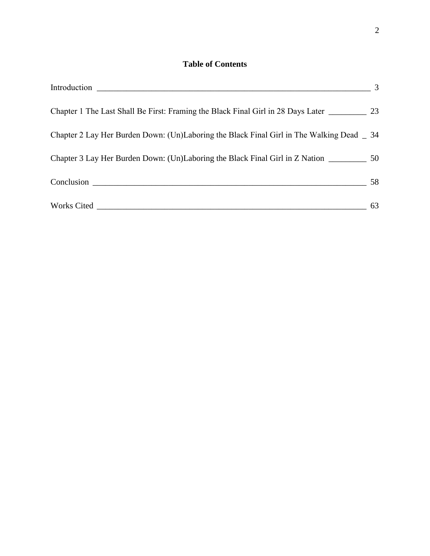# **Table of Contents**

| $\sim$ 3                                                                                        |    |
|-------------------------------------------------------------------------------------------------|----|
| Chapter 1 The Last Shall Be First: Framing the Black Final Girl in 28 Days Later ___________ 23 |    |
| Chapter 2 Lay Her Burden Down: (Un)Laboring the Black Final Girl in The Walking Dead _ 34       |    |
| Chapter 3 Lay Her Burden Down: (Un)Laboring the Black Final Girl in Z Nation ___________ 50     |    |
|                                                                                                 |    |
|                                                                                                 | 63 |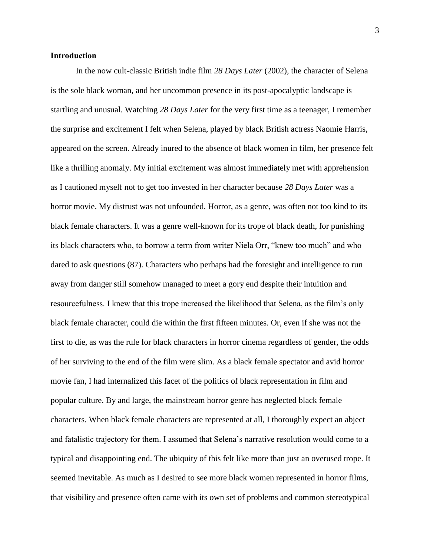# <span id="page-3-0"></span>**Introduction**

In the now cult-classic British indie film *28 Days Later* (2002), the character of Selena is the sole black woman, and her uncommon presence in its post-apocalyptic landscape is startling and unusual. Watching *28 Days Later* for the very first time as a teenager, I remember the surprise and excitement I felt when Selena, played by black British actress Naomie Harris, appeared on the screen. Already inured to the absence of black women in film, her presence felt like a thrilling anomaly. My initial excitement was almost immediately met with apprehension as I cautioned myself not to get too invested in her character because *28 Days Later* was a horror movie. My distrust was not unfounded. Horror, as a genre, was often not too kind to its black female characters. It was a genre well-known for its trope of black death, for punishing its black characters who, to borrow a term from writer Niela Orr, "knew too much" and who dared to ask questions (87). Characters who perhaps had the foresight and intelligence to run away from danger still somehow managed to meet a gory end despite their intuition and resourcefulness. I knew that this trope increased the likelihood that Selena, as the film's only black female character, could die within the first fifteen minutes. Or, even if she was not the first to die, as was the rule for black characters in horror cinema regardless of gender, the odds of her surviving to the end of the film were slim. As a black female spectator and avid horror movie fan, I had internalized this facet of the politics of black representation in film and popular culture. By and large, the mainstream horror genre has neglected black female characters. When black female characters are represented at all, I thoroughly expect an abject and fatalistic trajectory for them. I assumed that Selena's narrative resolution would come to a typical and disappointing end. The ubiquity of this felt like more than just an overused trope. It seemed inevitable. As much as I desired to see more black women represented in horror films, that visibility and presence often came with its own set of problems and common stereotypical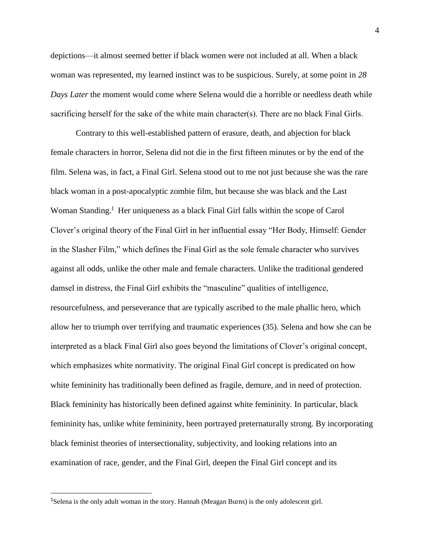depictions—it almost seemed better if black women were not included at all. When a black woman was represented, my learned instinct was to be suspicious. Surely, at some point in *28 Days Later* the moment would come where Selena would die a horrible or needless death while sacrificing herself for the sake of the white main character(s). There are no black Final Girls.  

Contrary to this well-established pattern of erasure, death, and abjection for black female characters in horror, Selena did not die in the first fifteen minutes or by the end of the film. Selena was, in fact, a Final Girl. Selena stood out to me not just because she was the rare black woman in a post-apocalyptic zombie film, but because she was black and the Last Woman Standing.<sup>1</sup> Her uniqueness as a black Final Girl falls within the scope of Carol Clover's original theory of the Final Girl in her influential essay "Her Body, Himself: Gender in the Slasher Film," which defines the Final Girl as the sole female character who survives against all odds, unlike the other male and female characters. Unlike the traditional gendered damsel in distress, the Final Girl exhibits the "masculine" qualities of intelligence, resourcefulness, and perseverance that are typically ascribed to the male phallic hero, which allow her to triumph over terrifying and traumatic experiences (35). Selena and how she can be interpreted as a black Final Girl also goes beyond the limitations of Clover's original concept, which emphasizes white normativity. The original Final Girl concept is predicated on how white femininity has traditionally been defined as fragile, demure, and in need of protection. Black femininity has historically been defined against white femininity. In particular, black femininity has, unlike white femininity, been portrayed preternaturally strong. By incorporating black feminist theories of intersectionality, subjectivity, and looking relations into an examination of race, gender, and the Final Girl, deepen the Final Girl concept and its

<sup>1</sup>Selena is the only adult woman in the story. Hannah (Meagan Burns) is the only adolescent girl.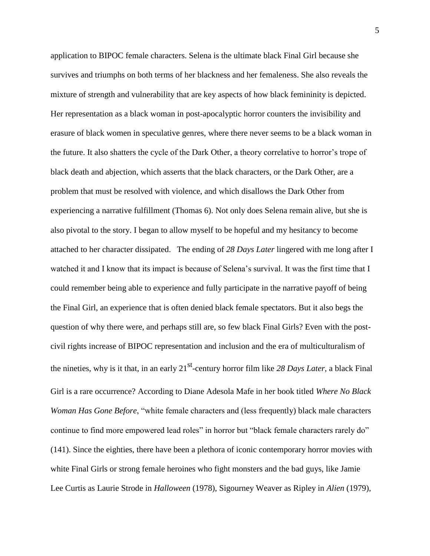application to BIPOC female characters. Selena is the ultimate black Final Girl because she survives and triumphs on both terms of her blackness and her femaleness. She also reveals the mixture of strength and vulnerability that are key aspects of how black femininity is depicted. Her representation as a black woman in post-apocalyptic horror counters the invisibility and erasure of black women in speculative genres, where there never seems to be a black woman in the future. It also shatters the cycle of the Dark Other, a theory correlative to horror's trope of black death and abjection, which asserts that the black characters, or the Dark Other, are a problem that must be resolved with violence, and which disallows the Dark Other from experiencing a narrative fulfillment (Thomas 6). Not only does Selena remain alive, but she is also pivotal to the story. I began to allow myself to be hopeful and my hesitancy to become attached to her character dissipated. The ending of *28 Days Later* lingered with me long after I watched it and I know that its impact is because of Selena's survival. It was the first time that I could remember being able to experience and fully participate in the narrative payoff of being the Final Girl, an experience that is often denied black female spectators. But it also begs the question of why there were, and perhaps still are, so few black Final Girls? Even with the postcivil rights increase of BIPOC representation and inclusion and the era of multiculturalism of the nineties, why is it that, in an early 21st -century horror film like *28 Days Later,* a black Final Girl is a rare occurrence? According to Diane Adesola Mafe in her book titled *Where No Black Woman Has Gone Before*, "white female characters and (less frequently) black male characters continue to find more empowered lead roles" in horror but "black female characters rarely do" (141). Since the eighties, there have been a plethora of iconic contemporary horror movies with white Final Girls or strong female heroines who fight monsters and the bad guys, like Jamie Lee Curtis as Laurie Strode in *Halloween* (1978), Sigourney Weaver as Ripley in *Alien* (1979),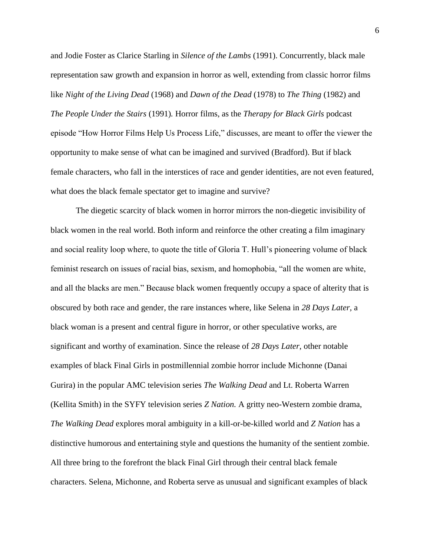and Jodie Foster as Clarice Starling in *Silence of the Lambs* (1991). Concurrently, black male representation saw growth and expansion in horror as well, extending from classic horror films like *Night of the Living Dead* (1968) and *Dawn of the Dead* (1978) to *The Thing* (1982) and *The People Under the Stairs* (1991)*.* Horror films, as the *Therapy for Black Girls* podcast episode "How Horror Films Help Us Process Life," discusses, are meant to offer the viewer the opportunity to make sense of what can be imagined and survived (Bradford). But if black female characters, who fall in the interstices of race and gender identities, are not even featured, what does the black female spectator get to imagine and survive?

The diegetic scarcity of black women in horror mirrors the non-diegetic invisibility of black women in the real world. Both inform and reinforce the other creating a film imaginary and social reality loop where, to quote the title of Gloria T. Hull's pioneering volume of black feminist research on issues of racial bias, sexism, and homophobia, "all the women are white, and all the blacks are men." Because black women frequently occupy a space of alterity that is obscured by both race and gender, the rare instances where, like Selena in *28 Days Later,* a black woman is a present and central figure in horror, or other speculative works, are significant and worthy of examination. Since the release of *28 Days Later*, other notable examples of black Final Girls in postmillennial zombie horror include Michonne (Danai Gurira) in the popular AMC television series *The Walking Dead* and Lt. Roberta Warren (Kellita Smith) in the SYFY television series *Z Nation.* A gritty neo-Western zombie drama, *The Walking Dead* explores moral ambiguity in a kill-or-be-killed world and *Z Nation* has a distinctive humorous and entertaining style and questions the humanity of the sentient zombie. All three bring to the forefront the black Final Girl through their central black female characters. Selena, Michonne, and Roberta serve as unusual and significant examples of black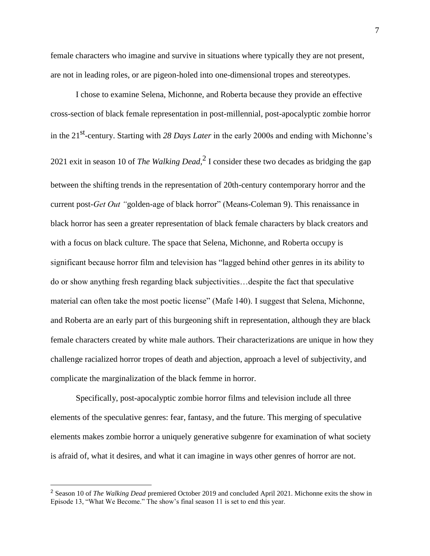female characters who imagine and survive in situations where typically they are not present, are not in leading roles, or are pigeon-holed into one-dimensional tropes and stereotypes.

I chose to examine Selena, Michonne, and Roberta because they provide an effective cross-section of black female representation in post-millennial, post-apocalyptic zombie horror in the 21<sup>st</sup>-century. Starting with 28 Days Later in the early 2000s and ending with Michonne's 2021 exit in season 10 of *The Walking Dead*,  $2$  I consider these two decades as bridging the gap between the shifting trends in the representation of 20th-century contemporary horror and the current post*-Get Out "*golden-age of black horror" (Means-Coleman 9). This renaissance in black horror has seen a greater representation of black female characters by black creators and with a focus on black culture. The space that Selena, Michonne, and Roberta occupy is significant because horror film and television has "lagged behind other genres in its ability to do or show anything fresh regarding black subjectivities…despite the fact that speculative material can often take the most poetic license" (Mafe 140). I suggest that Selena, Michonne, and Roberta are an early part of this burgeoning shift in representation, although they are black female characters created by white male authors. Their characterizations are unique in how they challenge racialized horror tropes of death and abjection, approach a level of subjectivity, and complicate the marginalization of the black femme in horror.

Specifically, post-apocalyptic zombie horror films and television include all three elements of the speculative genres: fear, fantasy, and the future. This merging of speculative elements makes zombie horror a uniquely generative subgenre for examination of what society is afraid of, what it desires, and what it can imagine in ways other genres of horror are not.

 $\overline{a}$ 

<sup>2</sup> Season 10 of *The Walking Dead* premiered October 2019 and concluded April 2021. Michonne exits the show in Episode 13, "What We Become." The show's final season 11 is set to end this year.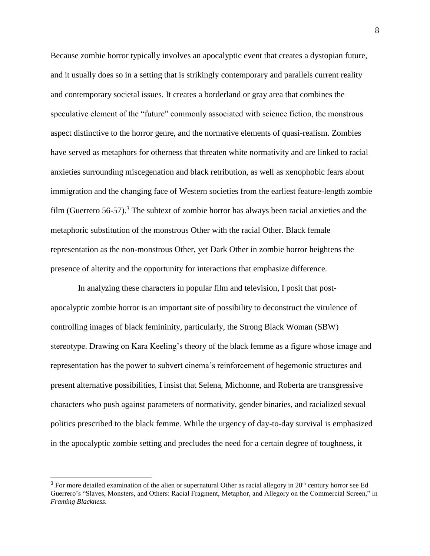Because zombie horror typically involves an apocalyptic event that creates a dystopian future, and it usually does so in a setting that is strikingly contemporary and parallels current reality and contemporary societal issues. It creates a borderland or gray area that combines the speculative element of the "future" commonly associated with science fiction, the monstrous aspect distinctive to the horror genre, and the normative elements of quasi-realism. Zombies have served as metaphors for otherness that threaten white normativity and are linked to racial anxieties surrounding miscegenation and black retribution, as well as xenophobic fears about immigration and the changing face of Western societies from the earliest feature-length zombie film (Guerrero  $56-57$ ).<sup>3</sup> The subtext of zombie horror has always been racial anxieties and the metaphoric substitution of the monstrous Other with the racial Other. Black female representation as the non-monstrous Other, yet Dark Other in zombie horror heightens the presence of alterity and the opportunity for interactions that emphasize difference.

In analyzing these characters in popular film and television, I posit that postapocalyptic zombie horror is an important site of possibility to deconstruct the virulence of controlling images of black femininity, particularly, the Strong Black Woman (SBW) stereotype. Drawing on Kara Keeling's theory of the black femme as a figure whose image and representation has the power to subvert cinema's reinforcement of hegemonic structures and present alternative possibilities, I insist that Selena, Michonne, and Roberta are transgressive characters who push against parameters of normativity, gender binaries, and racialized sexual politics prescribed to the black femme. While the urgency of day-to-day survival is emphasized in the apocalyptic zombie setting and precludes the need for a certain degree of toughness, it

<sup>&</sup>lt;sup>3</sup> For more detailed examination of the alien or supernatural Other as racial allegory in  $20<sup>th</sup>$  century horror see Ed Guerrero's "Slaves, Monsters, and Others: Racial Fragment, Metaphor, and Allegory on the Commercial Screen," in *Framing Blackness*.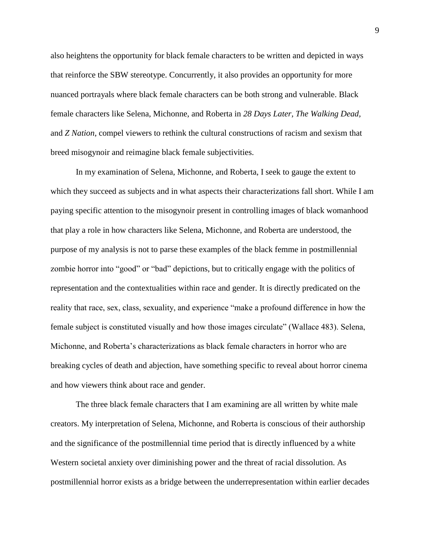also heightens the opportunity for black female characters to be written and depicted in ways that reinforce the SBW stereotype. Concurrently, it also provides an opportunity for more nuanced portrayals where black female characters can be both strong and vulnerable. Black female characters like Selena, Michonne, and Roberta in *28 Days Later, The Walking Dead,*  and *Z Nation*, compel viewers to rethink the cultural constructions of racism and sexism that breed misogynoir and reimagine black female subjectivities.

In my examination of Selena, Michonne, and Roberta, I seek to gauge the extent to which they succeed as subjects and in what aspects their characterizations fall short. While I am paying specific attention to the misogynoir present in controlling images of black womanhood that play a role in how characters like Selena, Michonne, and Roberta are understood, the purpose of my analysis is not to parse these examples of the black femme in postmillennial zombie horror into "good" or "bad" depictions, but to critically engage with the politics of representation and the contextualities within race and gender. It is directly predicated on the reality that race, sex, class, sexuality, and experience "make a profound difference in how the female subject is constituted visually and how those images circulate" (Wallace 483). Selena, Michonne, and Roberta's characterizations as black female characters in horror who are breaking cycles of death and abjection, have something specific to reveal about horror cinema and how viewers think about race and gender.

The three black female characters that I am examining are all written by white male creators. My interpretation of Selena, Michonne, and Roberta is conscious of their authorship and the significance of the postmillennial time period that is directly influenced by a white Western societal anxiety over diminishing power and the threat of racial dissolution. As postmillennial horror exists as a bridge between the underrepresentation within earlier decades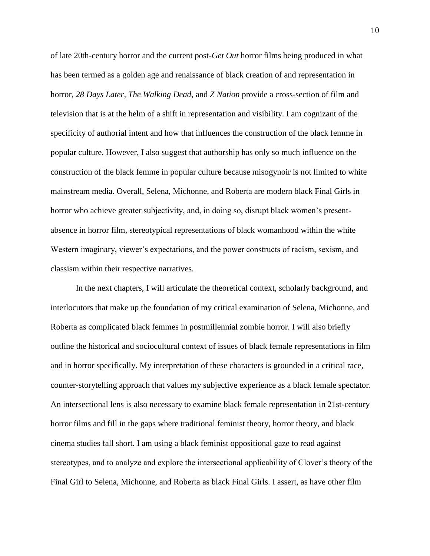of late 20th-century horror and the current post-*Get Out* horror films being produced in what has been termed as a golden age and renaissance of black creation of and representation in horror, *28 Days Later, The Walking Dead,* and *Z Nation* provide a cross-section of film and television that is at the helm of a shift in representation and visibility. I am cognizant of the specificity of authorial intent and how that influences the construction of the black femme in popular culture. However, I also suggest that authorship has only so much influence on the construction of the black femme in popular culture because misogynoir is not limited to white mainstream media. Overall, Selena, Michonne, and Roberta are modern black Final Girls in horror who achieve greater subjectivity, and, in doing so, disrupt black women's presentabsence in horror film, stereotypical representations of black womanhood within the white Western imaginary, viewer's expectations, and the power constructs of racism, sexism, and classism within their respective narratives.

In the next chapters, I will articulate the theoretical context, scholarly background, and interlocutors that make up the foundation of my critical examination of Selena, Michonne, and Roberta as complicated black femmes in postmillennial zombie horror. I will also briefly outline the historical and sociocultural context of issues of black female representations in film and in horror specifically. My interpretation of these characters is grounded in a critical race, counter-storytelling approach that values my subjective experience as a black female spectator. An intersectional lens is also necessary to examine black female representation in 21st-century horror films and fill in the gaps where traditional feminist theory, horror theory, and black cinema studies fall short. I am using a black feminist oppositional gaze to read against stereotypes, and to analyze and explore the intersectional applicability of Clover's theory of the Final Girl to Selena, Michonne, and Roberta as black Final Girls. I assert, as have other film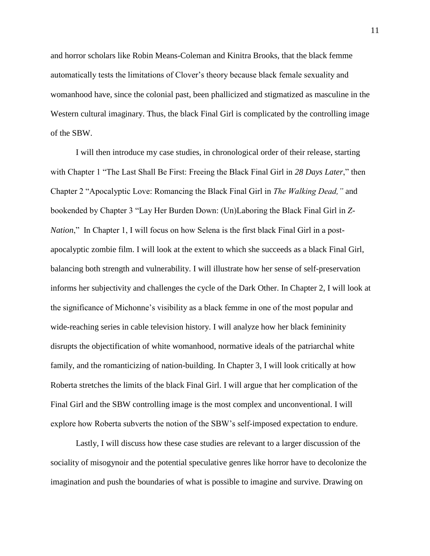and horror scholars like Robin Means-Coleman and Kinitra Brooks, that the black femme automatically tests the limitations of Clover's theory because black female sexuality and womanhood have, since the colonial past, been phallicized and stigmatized as masculine in the Western cultural imaginary. Thus, the black Final Girl is complicated by the controlling image of the SBW.

I will then introduce my case studies, in chronological order of their release, starting with Chapter 1 "The Last Shall Be First: Freeing the Black Final Girl in *28 Days Later*," then Chapter 2 "Apocalyptic Love: Romancing the Black Final Girl in *The Walking Dead,"* and bookended by Chapter 3 "Lay Her Burden Down: (Un)Laboring the Black Final Girl in *Z-Nation*," In Chapter 1, I will focus on how Selena is the first black Final Girl in a postapocalyptic zombie film. I will look at the extent to which she succeeds as a black Final Girl, balancing both strength and vulnerability. I will illustrate how her sense of self-preservation informs her subjectivity and challenges the cycle of the Dark Other. In Chapter 2, I will look at the significance of Michonne's visibility as a black femme in one of the most popular and wide-reaching series in cable television history. I will analyze how her black femininity disrupts the objectification of white womanhood, normative ideals of the patriarchal white family, and the romanticizing of nation-building. In Chapter 3, I will look critically at how Roberta stretches the limits of the black Final Girl. I will argue that her complication of the Final Girl and the SBW controlling image is the most complex and unconventional. I will explore how Roberta subverts the notion of the SBW's self-imposed expectation to endure.

Lastly, I will discuss how these case studies are relevant to a larger discussion of the sociality of misogynoir and the potential speculative genres like horror have to decolonize the imagination and push the boundaries of what is possible to imagine and survive. Drawing on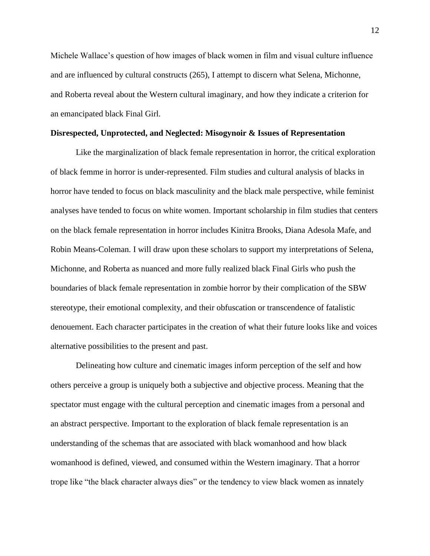Michele Wallace's question of how images of black women in film and visual culture influence and are influenced by cultural constructs (265), I attempt to discern what Selena, Michonne, and Roberta reveal about the Western cultural imaginary, and how they indicate a criterion for an emancipated black Final Girl.

#### **Disrespected, Unprotected, and Neglected: Misogynoir & Issues of Representation**

Like the marginalization of black female representation in horror, the critical exploration of black femme in horror is under-represented. Film studies and cultural analysis of blacks in horror have tended to focus on black masculinity and the black male perspective, while feminist analyses have tended to focus on white women. Important scholarship in film studies that centers on the black female representation in horror includes Kinitra Brooks, Diana Adesola Mafe, and Robin Means-Coleman. I will draw upon these scholars to support my interpretations of Selena, Michonne, and Roberta as nuanced and more fully realized black Final Girls who push the boundaries of black female representation in zombie horror by their complication of the SBW stereotype, their emotional complexity, and their obfuscation or transcendence of fatalistic denouement. Each character participates in the creation of what their future looks like and voices alternative possibilities to the present and past.

Delineating how culture and cinematic images inform perception of the self and how others perceive a group is uniquely both a subjective and objective process. Meaning that the spectator must engage with the cultural perception and cinematic images from a personal and an abstract perspective. Important to the exploration of black female representation is an understanding of the schemas that are associated with black womanhood and how black womanhood is defined, viewed, and consumed within the Western imaginary. That a horror trope like "the black character always dies" or the tendency to view black women as innately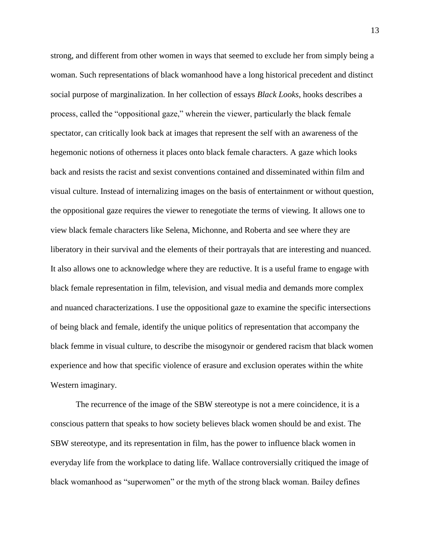strong, and different from other women in ways that seemed to exclude her from simply being a woman. Such representations of black womanhood have a long historical precedent and distinct social purpose of marginalization. In her collection of essays *Black Looks*, hooks describes a process, called the "oppositional gaze," wherein the viewer, particularly the black female spectator, can critically look back at images that represent the self with an awareness of the hegemonic notions of otherness it places onto black female characters. A gaze which looks back and resists the racist and sexist conventions contained and disseminated within film and visual culture. Instead of internalizing images on the basis of entertainment or without question, the oppositional gaze requires the viewer to renegotiate the terms of viewing. It allows one to view black female characters like Selena, Michonne, and Roberta and see where they are liberatory in their survival and the elements of their portrayals that are interesting and nuanced. It also allows one to acknowledge where they are reductive. It is a useful frame to engage with black female representation in film, television, and visual media and demands more complex and nuanced characterizations. I use the oppositional gaze to examine the specific intersections of being black and female, identify the unique politics of representation that accompany the black femme in visual culture, to describe the misogynoir or gendered racism that black women experience and how that specific violence of erasure and exclusion operates within the white Western imaginary.

The recurrence of the image of the SBW stereotype is not a mere coincidence, it is a conscious pattern that speaks to how society believes black women should be and exist. The SBW stereotype, and its representation in film, has the power to influence black women in everyday life from the workplace to dating life. Wallace controversially critiqued the image of black womanhood as "superwomen" or the myth of the strong black woman. Bailey defines

13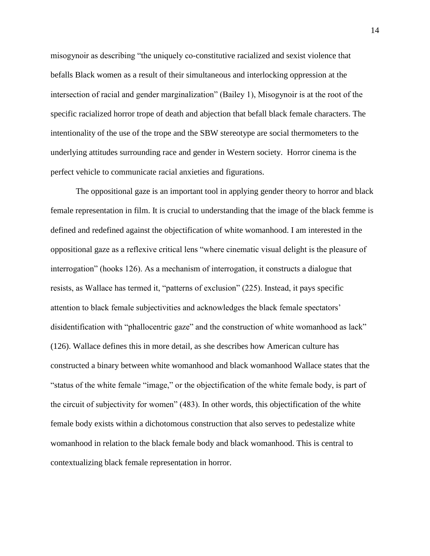misogynoir as describing "the uniquely co-constitutive racialized and sexist violence that befalls Black women as a result of their simultaneous and interlocking oppression at the intersection of racial and gender marginalization" (Bailey 1), Misogynoir is at the root of the specific racialized horror trope of death and abjection that befall black female characters. The intentionality of the use of the trope and the SBW stereotype are social thermometers to the underlying attitudes surrounding race and gender in Western society. Horror cinema is the perfect vehicle to communicate racial anxieties and figurations.

The oppositional gaze is an important tool in applying gender theory to horror and black female representation in film. It is crucial to understanding that the image of the black femme is defined and redefined against the objectification of white womanhood. I am interested in the oppositional gaze as a reflexive critical lens "where cinematic visual delight is the pleasure of interrogation" (hooks 126). As a mechanism of interrogation, it constructs a dialogue that resists, as Wallace has termed it, "patterns of exclusion" (225). Instead, it pays specific attention to black female subjectivities and acknowledges the black female spectators' disidentification with "phallocentric gaze" and the construction of white womanhood as lack" (126). Wallace defines this in more detail, as she describes how American culture has constructed a binary between white womanhood and black womanhood Wallace states that the "status of the white female "image," or the objectification of the white female body, is part of the circuit of subjectivity for women" (483). In other words, this objectification of the white female body exists within a dichotomous construction that also serves to pedestalize white womanhood in relation to the black female body and black womanhood. This is central to contextualizing black female representation in horror.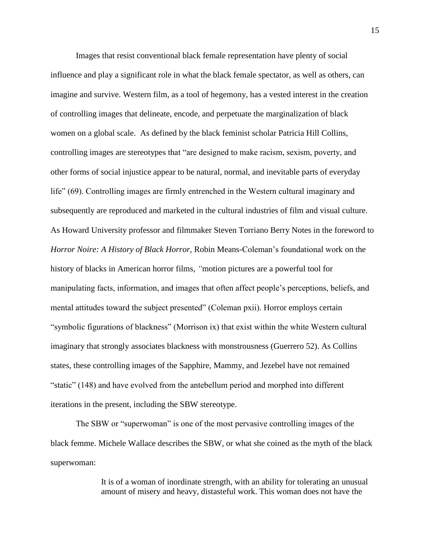Images that resist conventional black female representation have plenty of social influence and play a significant role in what the black female spectator, as well as others, can imagine and survive. Western film, as a tool of hegemony, has a vested interest in the creation of controlling images that delineate, encode, and perpetuate the marginalization of black women on a global scale. As defined by the black feminist scholar Patricia Hill Collins, controlling images are stereotypes that "are designed to make racism, sexism, poverty, and other forms of social injustice appear to be natural, normal, and inevitable parts of everyday life" (69). Controlling images are firmly entrenched in the Western cultural imaginary and subsequently are reproduced and marketed in the cultural industries of film and visual culture. As Howard University professor and filmmaker Steven Torriano Berry Notes in the foreword to *Horror Noire: A History of Black Horror,* Robin Means-Coleman's foundational work on the history of blacks in American horror films, *"*motion pictures are a powerful tool for manipulating facts, information, and images that often affect people's perceptions, beliefs, and mental attitudes toward the subject presented" (Coleman pxii). Horror employs certain "symbolic figurations of blackness" (Morrison ix) that exist within the white Western cultural imaginary that strongly associates blackness with monstrousness (Guerrero 52). As Collins states, these controlling images of the Sapphire, Mammy, and Jezebel have not remained "static" (148) and have evolved from the antebellum period and morphed into different iterations in the present, including the SBW stereotype.

The SBW or "superwoman" is one of the most pervasive controlling images of the black femme. Michele Wallace describes the SBW, or what she coined as the myth of the black superwoman:

> It is of a woman of inordinate strength, with an ability for tolerating an unusual amount of misery and heavy, distasteful work. This woman does not have the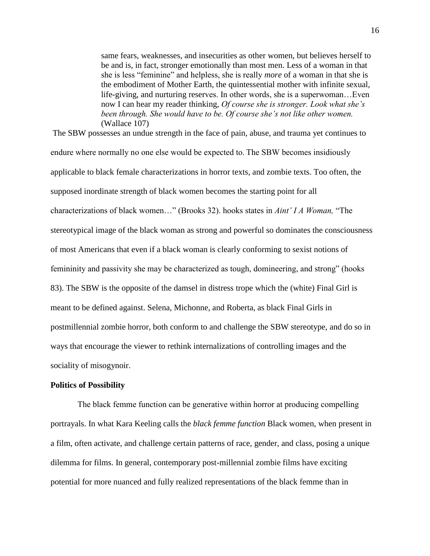same fears, weaknesses, and insecurities as other women, but believes herself to be and is, in fact, stronger emotionally than most men. Less of a woman in that she is less "feminine" and helpless, she is really *more* of a woman in that she is the embodiment of Mother Earth, the quintessential mother with infinite sexual, life-giving, and nurturing reserves. In other words, she is a superwoman…Even now I can hear my reader thinking, *Of course she is stronger. Look what she's been through. She would have to be. Of course she's not like other women.* (Wallace 107)

The SBW possesses an undue strength in the face of pain, abuse, and trauma yet continues to endure where normally no one else would be expected to. The SBW becomes insidiously applicable to black female characterizations in horror texts, and zombie texts. Too often, the supposed inordinate strength of black women becomes the starting point for all characterizations of black women…" (Brooks 32). hooks states in *Aint' I A Woman,* "The stereotypical image of the black woman as strong and powerful so dominates the consciousness of most Americans that even if a black woman is clearly conforming to sexist notions of femininity and passivity she may be characterized as tough, domineering, and strong" (hooks 83). The SBW is the opposite of the damsel in distress trope which the (white) Final Girl is meant to be defined against. Selena, Michonne, and Roberta, as black Final Girls in postmillennial zombie horror, both conform to and challenge the SBW stereotype, and do so in ways that encourage the viewer to rethink internalizations of controlling images and the sociality of misogynoir.

#### **Politics of Possibility**

 The black femme function can be generative within horror at producing compelling portrayals. In what Kara Keeling calls the *black femme function* Black women, when present in a film, often activate, and challenge certain patterns of race, gender, and class, posing a unique dilemma for films. In general, contemporary post-millennial zombie films have exciting potential for more nuanced and fully realized representations of the black femme than in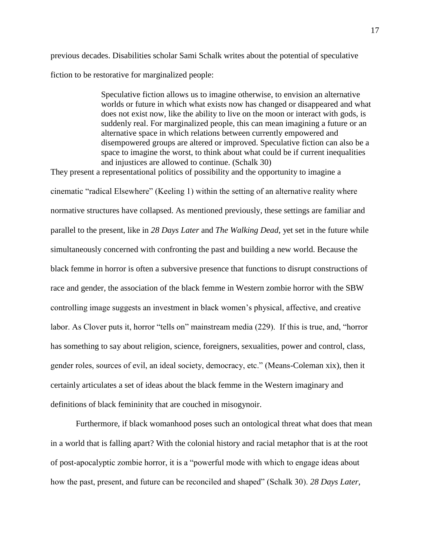previous decades. Disabilities scholar Sami Schalk writes about the potential of speculative fiction to be restorative for marginalized people:

> Speculative fiction allows us to imagine otherwise, to envision an alternative worlds or future in which what exists now has changed or disappeared and what does not exist now, like the ability to live on the moon or interact with gods, is suddenly real. For marginalized people, this can mean imagining a future or an alternative space in which relations between currently empowered and disempowered groups are altered or improved. Speculative fiction can also be a space to imagine the worst, to think about what could be if current inequalities and injustices are allowed to continue. (Schalk 30)

They present a representational politics of possibility and the opportunity to imagine a cinematic "radical Elsewhere" (Keeling 1) within the setting of an alternative reality where normative structures have collapsed. As mentioned previously, these settings are familiar and parallel to the present, like in *28 Days Later* and *The Walking Dead*, yet set in the future while simultaneously concerned with confronting the past and building a new world. Because the black femme in horror is often a subversive presence that functions to disrupt constructions of race and gender, the association of the black femme in Western zombie horror with the SBW controlling image suggests an investment in black women's physical, affective, and creative labor. As Clover puts it, horror "tells on" mainstream media (229). If this is true, and, "horror has something to say about religion, science, foreigners, sexualities, power and control, class, gender roles, sources of evil, an ideal society, democracy, etc." (Means-Coleman xix), then it certainly articulates a set of ideas about the black femme in the Western imaginary and definitions of black femininity that are couched in misogynoir.

Furthermore, if black womanhood poses such an ontological threat what does that mean in a world that is falling apart? With the colonial history and racial metaphor that is at the root of post-apocalyptic zombie horror, it is a "powerful mode with which to engage ideas about how the past, present, and future can be reconciled and shaped" (Schalk 30). *28 Days Later,*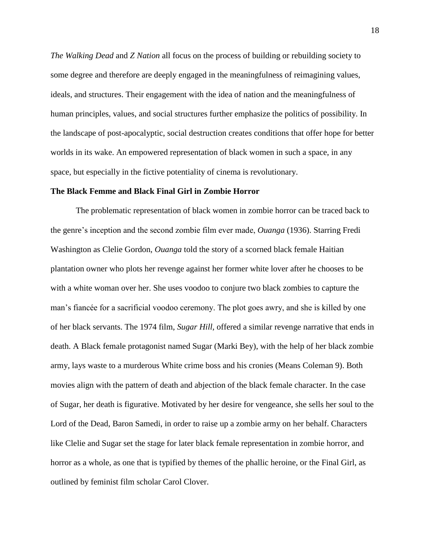*The Walking Dead* and *Z Nation* all focus on the process of building or rebuilding society to some degree and therefore are deeply engaged in the meaningfulness of reimagining values, ideals, and structures. Their engagement with the idea of nation and the meaningfulness of human principles, values, and social structures further emphasize the politics of possibility. In the landscape of post-apocalyptic, social destruction creates conditions that offer hope for better worlds in its wake. An empowered representation of black women in such a space, in any space, but especially in the fictive potentiality of cinema is revolutionary.

#### **The Black Femme and Black Final Girl in Zombie Horror**

The problematic representation of black women in zombie horror can be traced back to the genre's inception and the second zombie film ever made, *Ouanga* (1936). Starring Fredi Washington as Clelie Gordon, *Ouanga* told the story of a scorned black female Haitian plantation owner who plots her revenge against her former white lover after he chooses to be with a white woman over her. She uses voodoo to conjure two black zombies to capture the man's fiancée for a sacrificial voodoo ceremony. The plot goes awry, and she is killed by one of her black servants. The 1974 film, *Sugar Hill,* offered a similar revenge narrative that ends in death. A Black female protagonist named Sugar (Marki Bey), with the help of her black zombie army, lays waste to a murderous White crime boss and his cronies (Means Coleman 9). Both movies align with the pattern of death and abjection of the black female character. In the case of Sugar, her death is figurative. Motivated by her desire for vengeance, she sells her soul to the Lord of the Dead, Baron Samedi, in order to raise up a zombie army on her behalf. Characters like Clelie and Sugar set the stage for later black female representation in zombie horror, and horror as a whole, as one that is typified by themes of the phallic heroine, or the Final Girl, as outlined by feminist film scholar Carol Clover.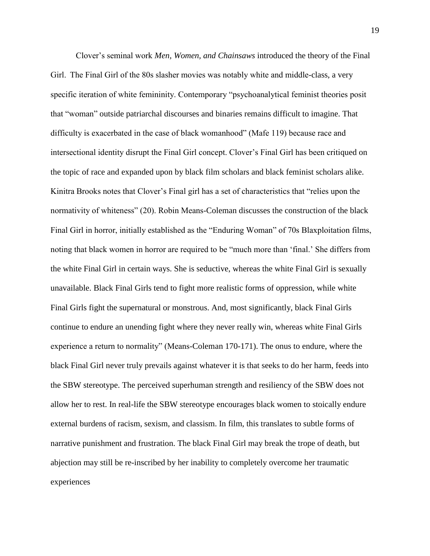Clover's seminal work *Men, Women, and Chainsaws* introduced the theory of the Final Girl.  The Final Girl of the 80s slasher movies was notably white and middle-class, a very specific iteration of white femininity. Contemporary "psychoanalytical feminist theories posit that "woman" outside patriarchal discourses and binaries remains difficult to imagine. That difficulty is exacerbated in the case of black womanhood" (Mafe 119) because race and intersectional identity disrupt the Final Girl concept. Clover's Final Girl has been critiqued on the topic of race and expanded upon by black film scholars and black feminist scholars alike. Kinitra Brooks notes that Clover's Final girl has a set of characteristics that "relies upon the normativity of whiteness" (20). Robin Means-Coleman discusses the construction of the black Final Girl in horror, initially established as the "Enduring Woman" of 70s Blaxploitation films, noting that black women in horror are required to be "much more than 'final.' She differs from the white Final Girl in certain ways. She is seductive, whereas the white Final Girl is sexually unavailable. Black Final Girls tend to fight more realistic forms of oppression, while white Final Girls fight the supernatural or monstrous. And, most significantly, black Final Girls continue to endure an unending fight where they never really win, whereas white Final Girls experience a return to normality" (Means-Coleman 170-171). The onus to endure, where the black Final Girl never truly prevails against whatever it is that seeks to do her harm, feeds into the SBW stereotype. The perceived superhuman strength and resiliency of the SBW does not allow her to rest. In real-life the SBW stereotype encourages black women to stoically endure external burdens of racism, sexism, and classism. In film, this translates to subtle forms of narrative punishment and frustration. The black Final Girl may break the trope of death, but abjection may still be re-inscribed by her inability to completely overcome her traumatic experiences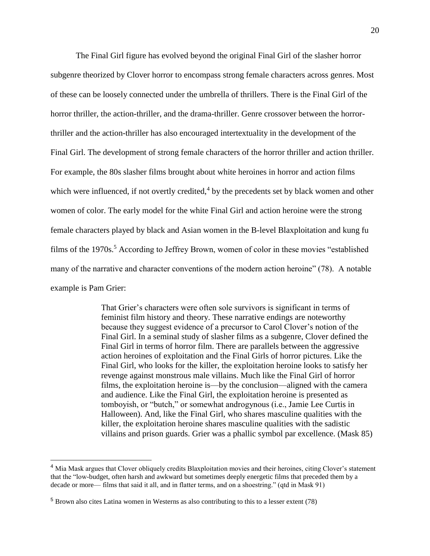The Final Girl figure has evolved beyond the original Final Girl of the slasher horror subgenre theorized by Clover horror to encompass strong female characters across genres. Most of these can be loosely connected under the umbrella of thrillers. There is the Final Girl of the horror thriller, the action-thriller, and the drama-thriller. Genre crossover between the horrorthriller and the action-thriller has also encouraged intertextuality in the development of the Final Girl. The development of strong female characters of the horror thriller and action thriller. For example, the 80s slasher films brought about white heroines in horror and action films which were influenced, if not overtly credited, $4$  by the precedents set by black women and other women of color. The early model for the white Final Girl and action heroine were the strong female characters played by black and Asian women in the B-level Blaxploitation and kung fu films of the 1970s.<sup>5</sup> According to Jeffrey Brown, women of color in these movies "established" many of the narrative and character conventions of the modern action heroine" (78). A notable example is Pam Grier:

> That Grier's characters were often sole survivors is significant in terms of feminist film history and theory. These narrative endings are noteworthy because they suggest evidence of a precursor to Carol Clover's notion of the Final Girl. In a seminal study of slasher films as a subgenre, Clover defined the Final Girl in terms of horror film. There are parallels between the aggressive action heroines of exploitation and the Final Girls of horror pictures. Like the Final Girl, who looks for the killer, the exploitation heroine looks to satisfy her revenge against monstrous male villains. Much like the Final Girl of horror films, the exploitation heroine is—by the conclusion—aligned with the camera and audience. Like the Final Girl, the exploitation heroine is presented as tomboyish, or "butch," or somewhat androgynous (i.e., Jamie Lee Curtis in Halloween). And, like the Final Girl, who shares masculine qualities with the killer, the exploitation heroine shares masculine qualities with the sadistic villains and prison guards. Grier was a phallic symbol par excellence. (Mask 85)

 $\overline{a}$ 

<sup>4</sup> Mia Mask argues that Clover obliquely credits Blaxploitation movies and their heroines, citing Clover's statement that the "low-budget, often harsh and awkward but sometimes deeply energetic films that preceded them by a decade or more— films that said it all, and in flatter terms, and on a shoestring." (qtd in Mask 91)

<sup>5</sup> Brown also cites Latina women in Westerns as also contributing to this to a lesser extent (78)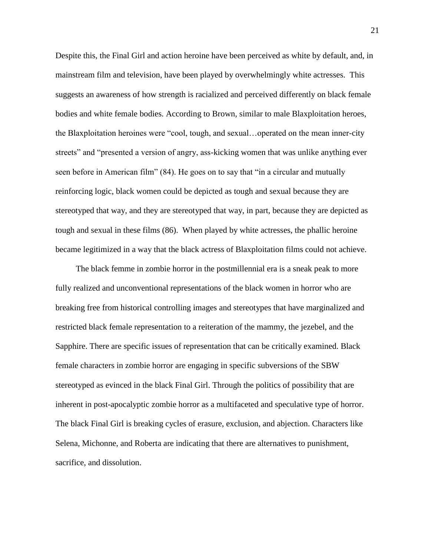Despite this, the Final Girl and action heroine have been perceived as white by default, and, in mainstream film and television, have been played by overwhelmingly white actresses. This suggests an awareness of how strength is racialized and perceived differently on black female bodies and white female bodies. According to Brown, similar to male Blaxploitation heroes, the Blaxploitation heroines were "cool, tough, and sexual…operated on the mean inner-city streets" and "presented a version of angry, ass-kicking women that was unlike anything ever seen before in American film" (84). He goes on to say that "in a circular and mutually reinforcing logic, black women could be depicted as tough and sexual because they are stereotyped that way, and they are stereotyped that way, in part, because they are depicted as tough and sexual in these films (86). When played by white actresses, the phallic heroine became legitimized in a way that the black actress of Blaxploitation films could not achieve.

The black femme in zombie horror in the postmillennial era is a sneak peak to more fully realized and unconventional representations of the black women in horror who are breaking free from historical controlling images and stereotypes that have marginalized and restricted black female representation to a reiteration of the mammy, the jezebel, and the Sapphire. There are specific issues of representation that can be critically examined. Black female characters in zombie horror are engaging in specific subversions of the SBW stereotyped as evinced in the black Final Girl. Through the politics of possibility that are inherent in post-apocalyptic zombie horror as a multifaceted and speculative type of horror. The black Final Girl is breaking cycles of erasure, exclusion, and abjection. Characters like Selena, Michonne, and Roberta are indicating that there are alternatives to punishment, sacrifice, and dissolution.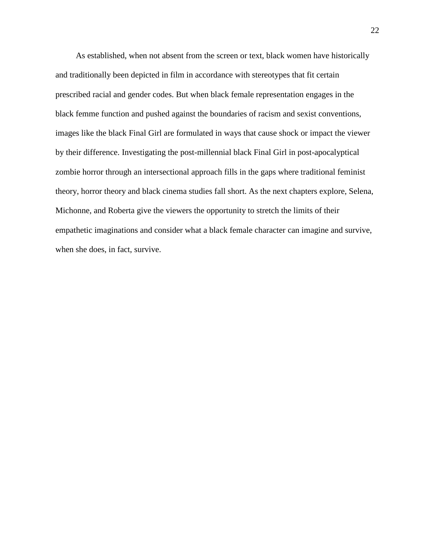As established, when not absent from the screen or text, black women have historically and traditionally been depicted in film in accordance with stereotypes that fit certain prescribed racial and gender codes. But when black female representation engages in the black femme function and pushed against the boundaries of racism and sexist conventions, images like the black Final Girl are formulated in ways that cause shock or impact the viewer by their difference. Investigating the post-millennial black Final Girl in post-apocalyptical zombie horror through an intersectional approach fills in the gaps where traditional feminist theory, horror theory and black cinema studies fall short. As the next chapters explore, Selena, Michonne, and Roberta give the viewers the opportunity to stretch the limits of their empathetic imaginations and consider what a black female character can imagine and survive, when she does, in fact, survive.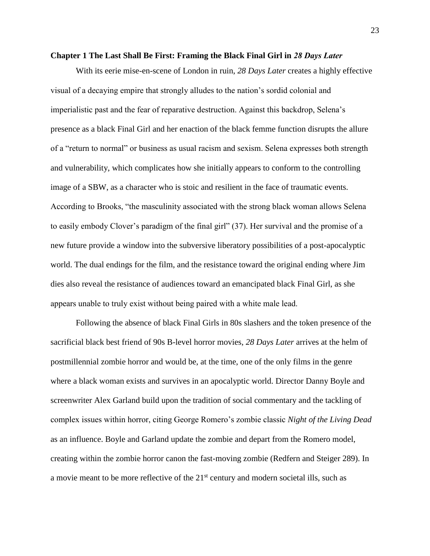#### <span id="page-23-0"></span>**Chapter 1 The Last Shall Be First: Framing the Black Final Girl in** *28 Days Later*

With its eerie mise-en-scene of London in ruin, *28 Days Later* creates a highly effective visual of a decaying empire that strongly alludes to the nation's sordid colonial and imperialistic past and the fear of reparative destruction. Against this backdrop, Selena's presence as a black Final Girl and her enaction of the black femme function disrupts the allure of a "return to normal" or business as usual racism and sexism. Selena expresses both strength and vulnerability, which complicates how she initially appears to conform to the controlling image of a SBW, as a character who is stoic and resilient in the face of traumatic events. According to Brooks, "the masculinity associated with the strong black woman allows Selena to easily embody Clover's paradigm of the final girl" (37). Her survival and the promise of a new future provide a window into the subversive liberatory possibilities of a post-apocalyptic world. The dual endings for the film, and the resistance toward the original ending where Jim dies also reveal the resistance of audiences toward an emancipated black Final Girl, as she appears unable to truly exist without being paired with a white male lead.  

Following the absence of black Final Girls in 80s slashers and the token presence of the sacrificial black best friend of 90s B-level horror movies, *28 Days Later* arrives at the helm of postmillennial zombie horror and would be, at the time, one of the only films in the genre where a black woman exists and survives in an apocalyptic world. Director Danny Boyle and screenwriter Alex Garland build upon the tradition of social commentary and the tackling of complex issues within horror, citing George Romero's zombie classic *Night of the Living Dead* as an influence. Boyle and Garland update the zombie and depart from the Romero model, creating within the zombie horror canon the fast-moving zombie (Redfern and Steiger 289). In a movie meant to be more reflective of the 21<sup>st</sup> century and modern societal ills, such as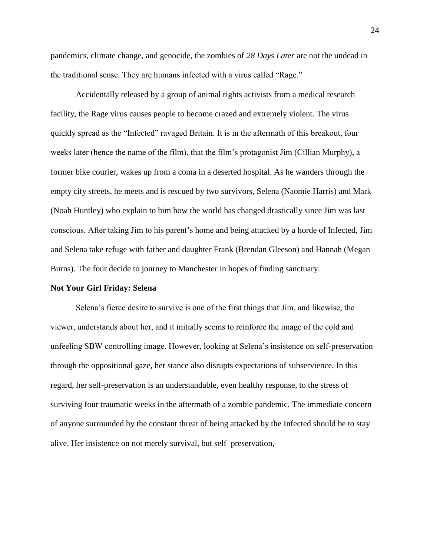pandemics, climate change, and genocide, the zombies of *28 Days Later* are not the undead in the traditional sense. They are humans infected with a virus called "Rage."

Accidentally released by a group of animal rights activists from a medical research facility, the Rage virus causes people to become crazed and extremely violent. The virus quickly spread as the "Infected" ravaged Britain. It is in the aftermath of this breakout, four weeks later (hence the name of the film), that the film's protagonist Jim (Cillian Murphy), a former bike courier, wakes up from a coma in a deserted hospital. As he wanders through the empty city streets, he meets and is rescued by two survivors, Selena (Naomie Harris) and Mark (Noah Huntley) who explain to him how the world has changed drastically since Jim was last conscious. After taking Jim to his parent's home and being attacked by a horde of Infected, Jim and Selena take refuge with father and daughter Frank (Brendan Gleeson) and Hannah (Megan Burns). The four decide to journey to Manchester in hopes of finding sanctuary.

#### **Not Your Girl Friday: Selena**

Selena's fierce desire to survive is one of the first things that Jim, and likewise, the viewer, understands about her, and it initially seems to reinforce the image of the cold and unfeeling SBW controlling image. However, looking at Selena's insistence on self-preservation through the oppositional gaze, her stance also disrupts expectations of subservience. In this regard, her self-preservation is an understandable, even healthy response, to the stress of surviving four traumatic weeks in the aftermath of a zombie pandemic. The immediate concern of anyone surrounded by the constant threat of being attacked by the Infected should be to stay alive. Her insistence on not merely survival, but self–preservation,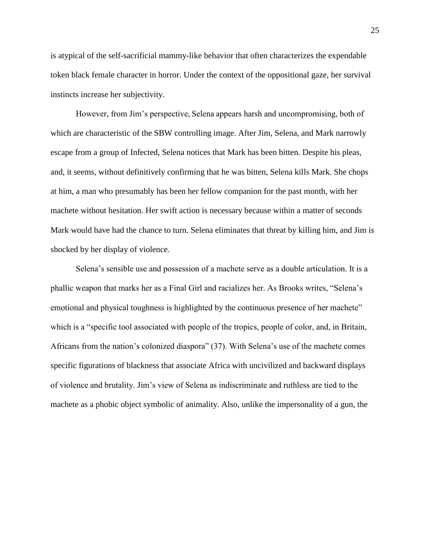is atypical of the self-sacrificial mammy-like behavior that often characterizes the expendable token black female character in horror. Under the context of the oppositional gaze, her survival instincts increase her subjectivity.

However, from Jim's perspective, Selena appears harsh and uncompromising, both of which are characteristic of the SBW controlling image. After Jim, Selena, and Mark narrowly escape from a group of Infected, Selena notices that Mark has been bitten. Despite his pleas, and, it seems, without definitively confirming that he was bitten, Selena kills Mark. She chops at him, a man who presumably has been her fellow companion for the past month, with her machete without hesitation. Her swift action is necessary because within a matter of seconds Mark would have had the chance to turn. Selena eliminates that threat by killing him, and Jim is shocked by her display of violence.

Selena's sensible use and possession of a machete serve as a double articulation. It is a phallic weapon that marks her as a Final Girl and racializes her. As Brooks writes, "Selena's emotional and physical toughness is highlighted by the continuous presence of her machete" which is a "specific tool associated with people of the tropics, people of color, and, in Britain, Africans from the nation's colonized diaspora" (37). With Selena's use of the machete comes specific figurations of blackness that associate Africa with uncivilized and backward displays of violence and brutality. Jim's view of Selena as indiscriminate and ruthless are tied to the machete as a phobic object symbolic of animality. Also, unlike the impersonality of a gun, the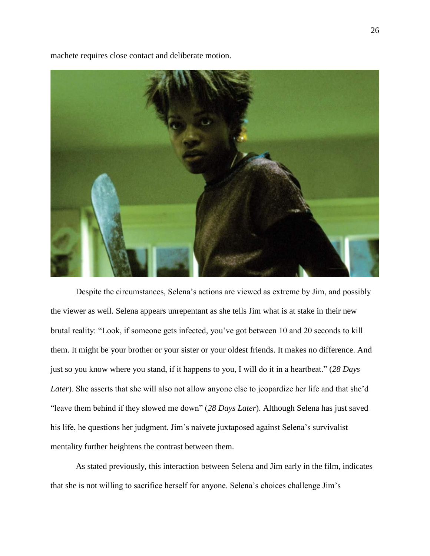machete requires close contact and deliberate motion.

Despite the circumstances, Selena's actions are viewed as extreme by Jim, and possibly the viewer as well. Selena appears unrepentant as she tells Jim what is at stake in their new brutal reality: "Look, if someone gets infected, you've got between 10 and 20 seconds to kill them. It might be your brother or your sister or your oldest friends. It makes no difference. And just so you know where you stand, if it happens to you, I will do it in a heartbeat." (*28 Days Later*). She asserts that she will also not allow anyone else to jeopardize her life and that she'd "leave them behind if they slowed me down" (*28 Days Later*). Although Selena has just saved his life, he questions her judgment. Jim's naivete juxtaposed against Selena's survivalist mentality further heightens the contrast between them.

As stated previously, this interaction between Selena and Jim early in the film, indicates that she is not willing to sacrifice herself for anyone. Selena's choices challenge Jim's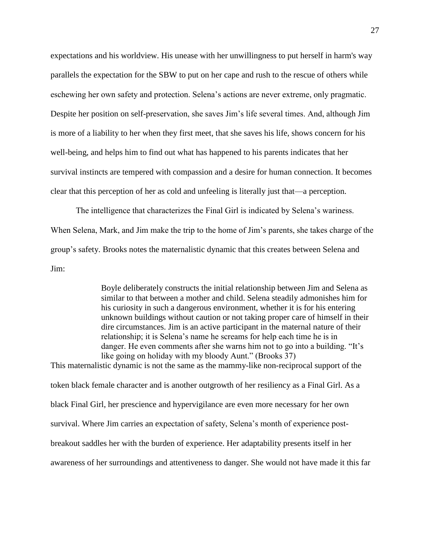expectations and his worldview. His unease with her unwillingness to put herself in harm's way parallels the expectation for the SBW to put on her cape and rush to the rescue of others while eschewing her own safety and protection. Selena's actions are never extreme, only pragmatic. Despite her position on self-preservation, she saves Jim's life several times. And, although Jim is more of a liability to her when they first meet, that she saves his life, shows concern for his well-being, and helps him to find out what has happened to his parents indicates that her survival instincts are tempered with compassion and a desire for human connection. It becomes clear that this perception of her as cold and unfeeling is literally just that—a perception.

The intelligence that characterizes the Final Girl is indicated by Selena's wariness. When Selena, Mark, and Jim make the trip to the home of Jim's parents, she takes charge of the group's safety. Brooks notes the maternalistic dynamic that this creates between Selena and Jim:

> Boyle deliberately constructs the initial relationship between Jim and Selena as similar to that between a mother and child. Selena steadily admonishes him for his curiosity in such a dangerous environment, whether it is for his entering unknown buildings without caution or not taking proper care of himself in their dire circumstances. Jim is an active participant in the maternal nature of their relationship; it is Selena's name he screams for help each time he is in danger. He even comments after she warns him not to go into a building. "It's like going on holiday with my bloody Aunt." (Brooks 37)

This maternalistic dynamic is not the same as the mammy-like non-reciprocal support of the token black female character and is another outgrowth of her resiliency as a Final Girl. As a black Final Girl, her prescience and hypervigilance are even more necessary for her own survival. Where Jim carries an expectation of safety, Selena's month of experience postbreakout saddles her with the burden of experience. Her adaptability presents itself in her awareness of her surroundings and attentiveness to danger. She would not have made it this far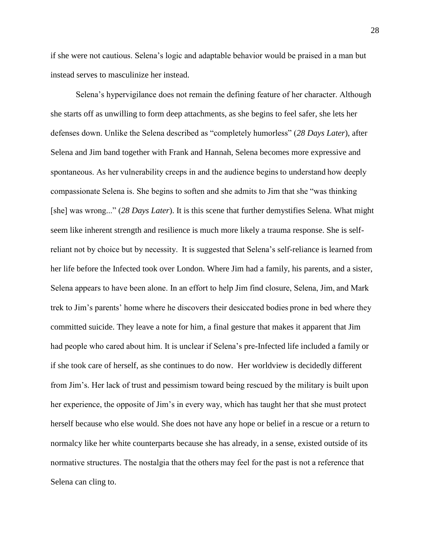if she were not cautious. Selena's logic and adaptable behavior would be praised in a man but instead serves to masculinize her instead.

Selena's hypervigilance does not remain the defining feature of her character. Although she starts off as unwilling to form deep attachments, as she begins to feel safer, she lets her defenses down. Unlike the Selena described as "completely humorless" (*28 Days Later*), after Selena and Jim band together with Frank and Hannah, Selena becomes more expressive and spontaneous. As her vulnerability creeps in and the audience begins to understand how deeply compassionate Selena is. She begins to soften and she admits to Jim that she "was thinking [she] was wrong..." (*28 Days Later*). It is this scene that further demystifies Selena. What might seem like inherent strength and resilience is much more likely a trauma response. She is selfreliant not by choice but by necessity.  It is suggested that Selena's self-reliance is learned from her life before the Infected took over London. Where Jim had a family, his parents, and a sister, Selena appears to have been alone. In an effort to help Jim find closure, Selena, Jim, and Mark trek to Jim's parents' home where he discovers their desiccated bodies prone in bed where they committed suicide. They leave a note for him, a final gesture that makes it apparent that Jim had people who cared about him. It is unclear if Selena's pre-Infected life included a family or if she took care of herself, as she continues to do now. Her worldview is decidedly different from Jim's. Her lack of trust and pessimism toward being rescued by the military is built upon her experience, the opposite of Jim's in every way, which has taught her that she must protect herself because who else would. She does not have any hope or belief in a rescue or a return to normalcy like her white counterparts because she has already, in a sense, existed outside of its normative structures. The nostalgia that the others may feel for the past is not a reference that Selena can cling to.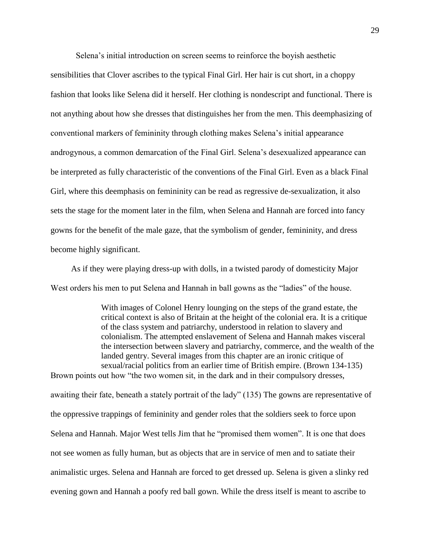Selena's initial introduction on screen seems to reinforce the boyish aesthetic

sensibilities that Clover ascribes to the typical Final Girl. Her hair is cut short, in a choppy fashion that looks like Selena did it herself. Her clothing is nondescript and functional. There is not anything about how she dresses that distinguishes her from the men. This deemphasizing of conventional markers of femininity through clothing makes Selena's initial appearance androgynous, a common demarcation of the Final Girl. Selena's desexualized appearance can be interpreted as fully characteristic of the conventions of the Final Girl. Even as a black Final Girl, where this deemphasis on femininity can be read as regressive de-sexualization, it also sets the stage for the moment later in the film, when Selena and Hannah are forced into fancy gowns for the benefit of the male gaze, that the symbolism of gender, femininity, and dress become highly significant.

As if they were playing dress-up with dolls, in a twisted parody of domesticity Major West orders his men to put Selena and Hannah in ball gowns as the "ladies" of the house.

With images of Colonel Henry lounging on the steps of the grand estate, the critical context is also of Britain at the height of the colonial era. It is a critique of the class system and patriarchy, understood in relation to slavery and colonialism. The attempted enslavement of Selena and Hannah makes visceral the intersection between slavery and patriarchy, commerce, and the wealth of the landed gentry. Several images from this chapter are an ironic critique of sexual/racial politics from an earlier time of British empire. (Brown 134-135) Brown points out how "the two women sit, in the dark and in their compulsory dresses,

awaiting their fate, beneath a stately portrait of the lady" (135) The gowns are representative of the oppressive trappings of femininity and gender roles that the soldiers seek to force upon Selena and Hannah. Major West tells Jim that he "promised them women". It is one that does not see women as fully human, but as objects that are in service of men and to satiate their animalistic urges. Selena and Hannah are forced to get dressed up. Selena is given a slinky red evening gown and Hannah a poofy red ball gown. While the dress itself is meant to ascribe to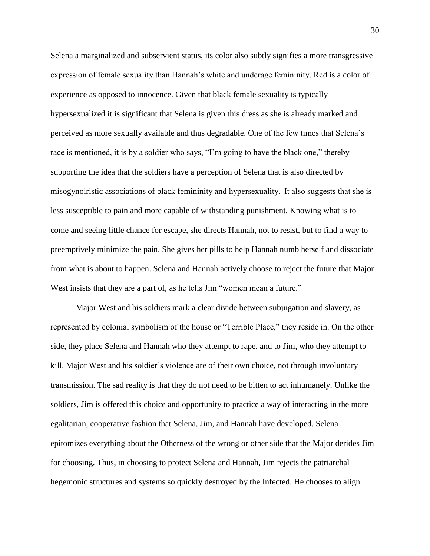Selena a marginalized and subservient status, its color also subtly signifies a more transgressive expression of female sexuality than Hannah's white and underage femininity. Red is a color of experience as opposed to innocence. Given that black female sexuality is typically hypersexualized it is significant that Selena is given this dress as she is already marked and perceived as more sexually available and thus degradable. One of the few times that Selena's race is mentioned, it is by a soldier who says, "I'm going to have the black one," thereby supporting the idea that the soldiers have a perception of Selena that is also directed by misogynoiristic associations of black femininity and hypersexuality.  It also suggests that she is less susceptible to pain and more capable of withstanding punishment. Knowing what is to come and seeing little chance for escape, she directs Hannah, not to resist, but to find a way to preemptively minimize the pain. She gives her pills to help Hannah numb herself and dissociate from what is about to happen. Selena and Hannah actively choose to reject the future that Major West insists that they are a part of, as he tells Jim "women mean a future."

Major West and his soldiers mark a clear divide between subjugation and slavery, as represented by colonial symbolism of the house or "Terrible Place," they reside in. On the other side, they place Selena and Hannah who they attempt to rape, and to Jim, who they attempt to kill. Major West and his soldier's violence are of their own choice, not through involuntary transmission. The sad reality is that they do not need to be bitten to act inhumanely. Unlike the soldiers, Jim is offered this choice and opportunity to practice a way of interacting in the more egalitarian, cooperative fashion that Selena, Jim, and Hannah have developed. Selena epitomizes everything about the Otherness of the wrong or other side that the Major derides Jim for choosing. Thus, in choosing to protect Selena and Hannah, Jim rejects the patriarchal hegemonic structures and systems so quickly destroyed by the Infected. He chooses to align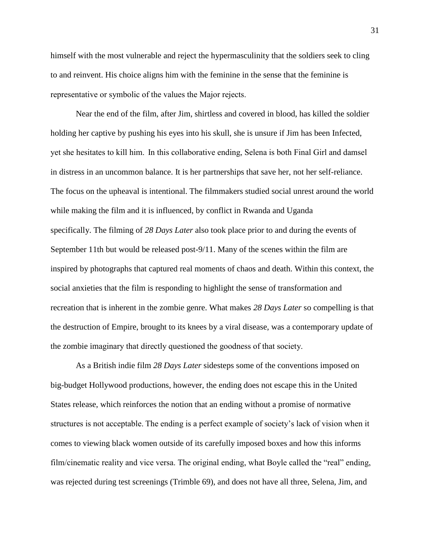himself with the most vulnerable and reject the hypermasculinity that the soldiers seek to cling to and reinvent. His choice aligns him with the feminine in the sense that the feminine is representative or symbolic of the values the Major rejects. 

Near the end of the film, after Jim, shirtless and covered in blood, has killed the soldier holding her captive by pushing his eyes into his skull, she is unsure if Jim has been Infected, yet she hesitates to kill him.  In this collaborative ending, Selena is both Final Girl and damsel in distress in an uncommon balance. It is her partnerships that save her, not her self-reliance. The focus on the upheaval is intentional. The filmmakers studied social unrest around the world while making the film and it is influenced, by conflict in Rwanda and Uganda specifically. The filming of *28 Days Later* also took place prior to and during the events of September 11th but would be released post-9/11. Many of the scenes within the film are inspired by photographs that captured real moments of chaos and death. Within this context, the social anxieties that the film is responding to highlight the sense of transformation and recreation that is inherent in the zombie genre. What makes *28 Days Later* so compelling is that the destruction of Empire, brought to its knees by a viral disease, was a contemporary update of the zombie imaginary that directly questioned the goodness of that society.       

As a British indie film *28 Days Later* sidesteps some of the conventions imposed on big-budget Hollywood productions, however, the ending does not escape this in the United States release, which reinforces the notion that an ending without a promise of normative structures is not acceptable. The ending is a perfect example of society's lack of vision when it comes to viewing black women outside of its carefully imposed boxes and how this informs film/cinematic reality and vice versa. The original ending, what Boyle called the "real" ending, was rejected during test screenings (Trimble 69), and does not have all three, Selena, Jim, and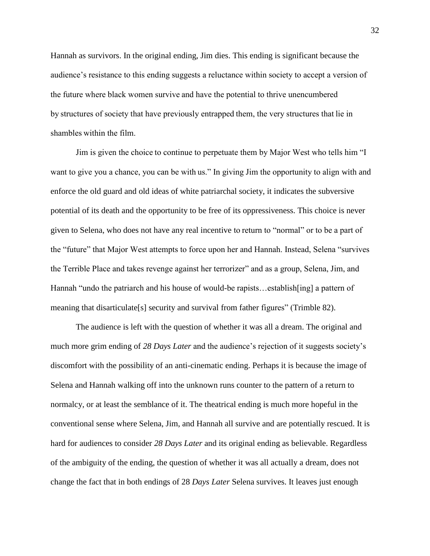Hannah as survivors. In the original ending, Jim dies. This ending is significant because the audience's resistance to this ending suggests a reluctance within society to accept a version of the future where black women survive and have the potential to thrive unencumbered by structures of society that have previously entrapped them, the very structures that lie in shambles within the film.

Jim is given the choice to continue to perpetuate them by Major West who tells him "I want to give you a chance, you can be with us." In giving Jim the opportunity to align with and enforce the old guard and old ideas of white patriarchal society, it indicates the subversive potential of its death and the opportunity to be free of its oppressiveness. This choice is never given to Selena, who does not have any real incentive to return to "normal" or to be a part of the "future" that Major West attempts to force upon her and Hannah. Instead, Selena "survives the Terrible Place and takes revenge against her terrorizer" and as a group, Selena, Jim, and Hannah "undo the patriarch and his house of would-be rapists…establish[ing] a pattern of meaning that disarticulate[s] security and survival from father figures" (Trimble 82).

The audience is left with the question of whether it was all a dream. The original and much more grim ending of *28 Days Later* and the audience's rejection of it suggests society's discomfort with the possibility of an anti-cinematic ending. Perhaps it is because the image of Selena and Hannah walking off into the unknown runs counter to the pattern of a return to normalcy, or at least the semblance of it. The theatrical ending is much more hopeful in the conventional sense where Selena, Jim, and Hannah all survive and are potentially rescued. It is hard for audiences to consider *28 Days Later* and its original ending as believable. Regardless of the ambiguity of the ending, the question of whether it was all actually a dream, does not change the fact that in both endings of 28 *Days Later* Selena survives. It leaves just enough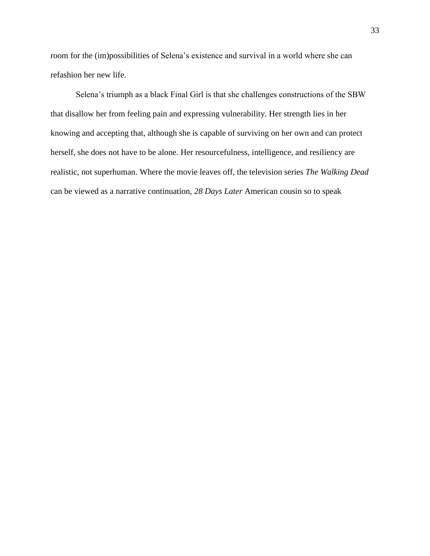room for the (im)possibilities of Selena's existence and survival in a world where she can refashion her new life.

Selena's triumph as a black Final Girl is that she challenges constructions of the SBW that disallow her from feeling pain and expressing vulnerability. Her strength lies in her knowing and accepting that, although she is capable of surviving on her own and can protect herself, she does not have to be alone. Her resourcefulness, intelligence, and resiliency are realistic, not superhuman. Where the movie leaves off, the television series *The Walking Dead*  can be viewed as a narrative continuation, *28 Days Later* American cousin so to speak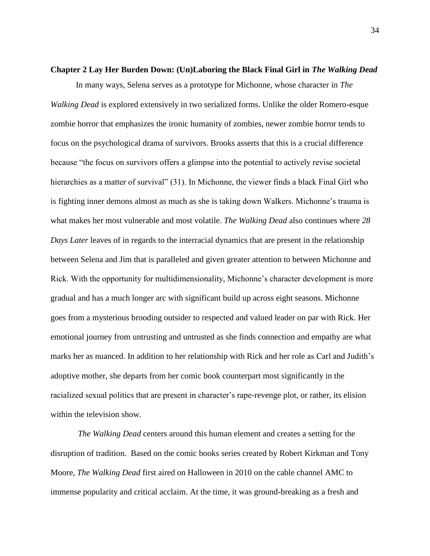# <span id="page-34-0"></span>**Chapter 2 Lay Her Burden Down: (Un)Laboring the Black Final Girl in** *The Walking Dead*

In many ways, Selena serves as a prototype for Michonne, whose character in *The Walking Dead* is explored extensively in two serialized forms. Unlike the older Romero-esque zombie horror that emphasizes the ironic humanity of zombies, newer zombie horror tends to focus on the psychological drama of survivors. Brooks asserts that this is a crucial difference because "the focus on survivors offers a glimpse into the potential to actively revise societal hierarchies as a matter of survival" (31). In Michonne, the viewer finds a black Final Girl who is fighting inner demons almost as much as she is taking down Walkers. Michonne's trauma is what makes her most vulnerable and most volatile. *The Walking Dead* also continues where *28 Days Later* leaves of in regards to the interracial dynamics that are present in the relationship between Selena and Jim that is paralleled and given greater attention to between Michonne and Rick. With the opportunity for multidimensionality, Michonne's character development is more gradual and has a much longer arc with significant build up across eight seasons. Michonne goes from a mysterious brooding outsider to respected and valued leader on par with Rick. Her emotional journey from untrusting and untrusted as she finds connection and empathy are what marks her as nuanced. In addition to her relationship with Rick and her role as Carl and Judith's adoptive mother, she departs from her comic book counterpart most significantly in the racialized sexual politics that are present in character's rape-revenge plot, or rather, its elision within the television show.

*The Walking Dead* centers around this human element and creates a setting for the disruption of tradition. Based on the comic books series created by Robert Kirkman and Tony Moore, *The Walking Dead* first aired on Halloween in 2010 on the cable channel AMC to immense popularity and critical acclaim. At the time, it was ground-breaking as a fresh and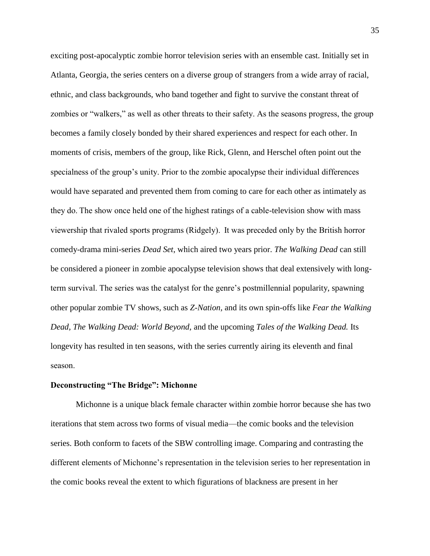exciting post-apocalyptic zombie horror television series with an ensemble cast. Initially set in Atlanta, Georgia, the series centers on a diverse group of strangers from a wide array of racial, ethnic, and class backgrounds, who band together and fight to survive the constant threat of zombies or "walkers," as well as other threats to their safety. As the seasons progress, the group becomes a family closely bonded by their shared experiences and respect for each other. In moments of crisis, members of the group, like Rick, Glenn, and Herschel often point out the specialness of the group's unity. Prior to the zombie apocalypse their individual differences would have separated and prevented them from coming to care for each other as intimately as they do. The show once held one of the highest ratings of a cable-television show with mass viewership that rivaled sports programs (Ridgely).  It was preceded only by the British horror comedy-drama mini-series *Dead Set*, which aired two years prior. *The Walking Dead* can still be considered a pioneer in zombie apocalypse television shows that deal extensively with longterm survival. The series was the catalyst for the genre's postmillennial popularity, spawning other popular zombie TV shows, such as *Z-Nation,* and its own spin-offs like *Fear the Walking Dead, The Walking Dead: World Beyond,* and the upcoming *Tales of the Walking Dead.* Its longevity has resulted in ten seasons, with the series currently airing its eleventh and final season. 

#### **Deconstructing "The Bridge": Michonne**

Michonne is a unique black female character within zombie horror because she has two iterations that stem across two forms of visual media—the comic books and the television series. Both conform to facets of the SBW controlling image. Comparing and contrasting the different elements of Michonne's representation in the television series to her representation in the comic books reveal the extent to which figurations of blackness are present in her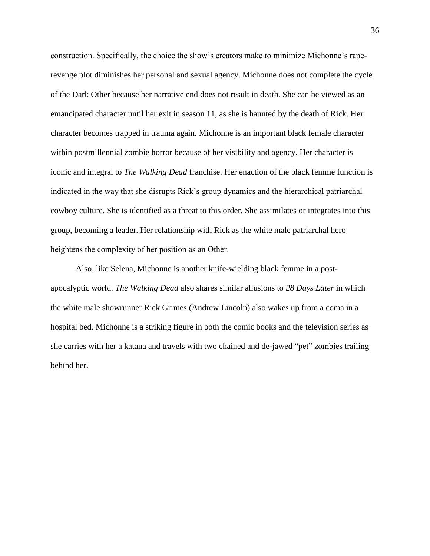construction. Specifically, the choice the show's creators make to minimize Michonne's raperevenge plot diminishes her personal and sexual agency. Michonne does not complete the cycle of the Dark Other because her narrative end does not result in death. She can be viewed as an emancipated character until her exit in season 11, as she is haunted by the death of Rick. Her character becomes trapped in trauma again. Michonne is an important black female character within postmillennial zombie horror because of her visibility and agency. Her character is iconic and integral to *The Walking Dead* franchise. Her enaction of the black femme function is indicated in the way that she disrupts Rick's group dynamics and the hierarchical patriarchal cowboy culture. She is identified as a threat to this order. She assimilates or integrates into this group, becoming a leader. Her relationship with Rick as the white male patriarchal hero heightens the complexity of her position as an Other. 

Also, like Selena, Michonne is another knife-wielding black femme in a postapocalyptic world. *The Walking Dead* also shares similar allusions to *28 Days Later* in which the white male showrunner Rick Grimes (Andrew Lincoln) also wakes up from a coma in a hospital bed. Michonne is a striking figure in both the comic books and the television series as she carries with her a katana and travels with two chained and de-jawed "pet" zombies trailing behind her.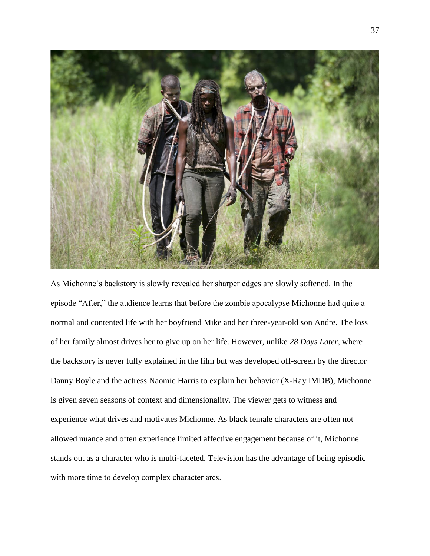

As Michonne's backstory is slowly revealed her sharper edges are slowly softened. In the episode "After," the audience learns that before the zombie apocalypse Michonne had quite a normal and contented life with her boyfriend Mike and her three-year-old son Andre. The loss of her family almost drives her to give up on her life. However, unlike *28 Days Later*, where the backstory is never fully explained in the film but was developed off-screen by the director Danny Boyle and the actress Naomie Harris to explain her behavior (X-Ray IMDB), Michonne is given seven seasons of context and dimensionality. The viewer gets to witness and experience what drives and motivates Michonne. As black female characters are often not allowed nuance and often experience limited affective engagement because of it, Michonne stands out as a character who is multi-faceted. Television has the advantage of being episodic with more time to develop complex character arcs.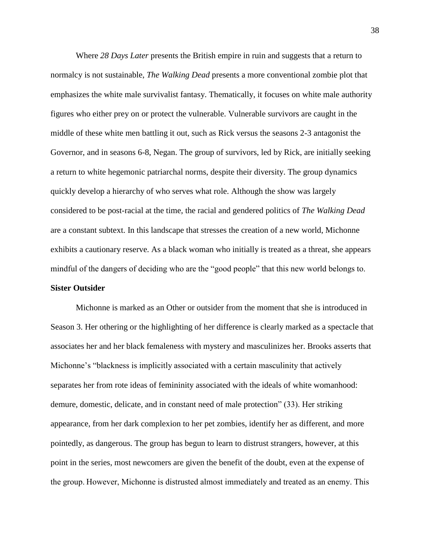Where *28 Days Later* presents the British empire in ruin and suggests that a return to normalcy is not sustainable, *The Walking Dead* presents a more conventional zombie plot that emphasizes the white male survivalist fantasy. Thematically, it focuses on white male authority figures who either prey on or protect the vulnerable. Vulnerable survivors are caught in the middle of these white men battling it out, such as Rick versus the seasons 2-3 antagonist the Governor, and in seasons 6-8, Negan. The group of survivors, led by Rick, are initially seeking a return to white hegemonic patriarchal norms, despite their diversity. The group dynamics quickly develop a hierarchy of who serves what role. Although the show was largely considered to be post-racial at the time, the racial and gendered politics of *The Walking Dead*  are a constant subtext. In this landscape that stresses the creation of a new world, Michonne exhibits a cautionary reserve. As a black woman who initially is treated as a threat, she appears mindful of the dangers of deciding who are the "good people" that this new world belongs to. **Sister Outsider**  

Michonne is marked as an Other or outsider from the moment that she is introduced in Season 3. Her othering or the highlighting of her difference is clearly marked as a spectacle that associates her and her black femaleness with mystery and masculinizes her. Brooks asserts that Michonne's "blackness is implicitly associated with a certain masculinity that actively separates her from rote ideas of femininity associated with the ideals of white womanhood: demure, domestic, delicate, and in constant need of male protection" (33). Her striking appearance, from her dark complexion to her pet zombies, identify her as different, and more pointedly, as dangerous. The group has begun to learn to distrust strangers, however, at this point in the series, most newcomers are given the benefit of the doubt, even at the expense of the group. However, Michonne is distrusted almost immediately and treated as an enemy. This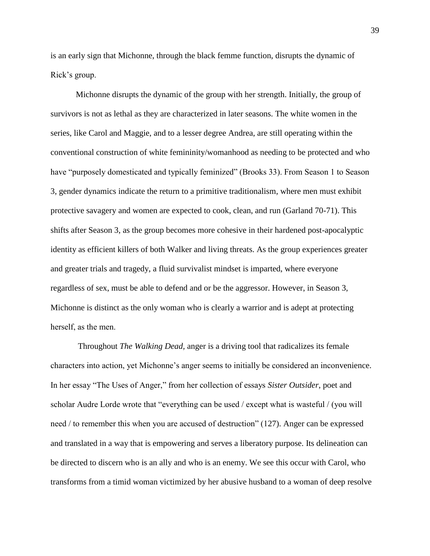is an early sign that Michonne, through the black femme function, disrupts the dynamic of Rick's group. 

Michonne disrupts the dynamic of the group with her strength. Initially, the group of survivors is not as lethal as they are characterized in later seasons. The white women in the series, like Carol and Maggie, and to a lesser degree Andrea, are still operating within the conventional construction of white femininity/womanhood as needing to be protected and who have "purposely domesticated and typically feminized" (Brooks 33). From Season 1 to Season 3, gender dynamics indicate the return to a primitive traditionalism, where men must exhibit protective savagery and women are expected to cook, clean, and run (Garland 70-71). This shifts after Season 3, as the group becomes more cohesive in their hardened post-apocalyptic identity as efficient killers of both Walker and living threats. As the group experiences greater and greater trials and tragedy, a fluid survivalist mindset is imparted, where everyone regardless of sex, must be able to defend and or be the aggressor. However, in Season 3, Michonne is distinct as the only woman who is clearly a warrior and is adept at protecting herself, as the men.   

Throughout *The Walking Dead,* anger is a driving tool that radicalizes its female characters into action, yet Michonne's anger seems to initially be considered an inconvenience. In her essay "The Uses of Anger," from her collection of essays *Sister Outsider*, poet and scholar Audre Lorde wrote that "everything can be used / except what is wasteful / (you will need / to remember this when you are accused of destruction" (127). Anger can be expressed and translated in a way that is empowering and serves a liberatory purpose. Its delineation can be directed to discern who is an ally and who is an enemy. We see this occur with Carol, who transforms from a timid woman victimized by her abusive husband to a woman of deep resolve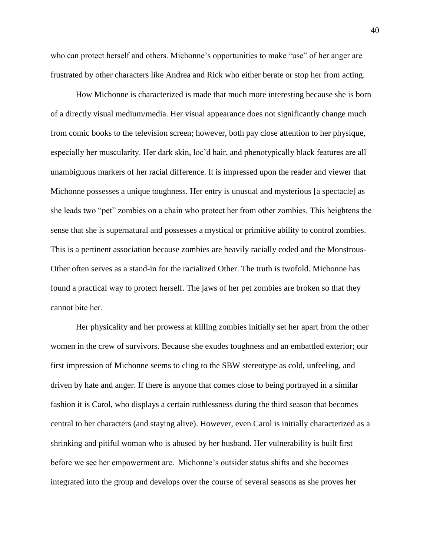who can protect herself and others. Michonne's opportunities to make "use" of her anger are frustrated by other characters like Andrea and Rick who either berate or stop her from acting.

How Michonne is characterized is made that much more interesting because she is born of a directly visual medium/media. Her visual appearance does not significantly change much from comic books to the television screen; however, both pay close attention to her physique, especially her muscularity. Her dark skin, loc'd hair, and phenotypically black features are all unambiguous markers of her racial difference. It is impressed upon the reader and viewer that Michonne possesses a unique toughness. Her entry is unusual and mysterious [a spectacle] as she leads two "pet" zombies on a chain who protect her from other zombies. This heightens the sense that she is supernatural and possesses a mystical or primitive ability to control zombies. This is a pertinent association because zombies are heavily racially coded and the Monstrous-Other often serves as a stand-in for the racialized Other. The truth is twofold. Michonne has found a practical way to protect herself. The jaws of her pet zombies are broken so that they cannot bite her.  

Her physicality and her prowess at killing zombies initially set her apart from the other women in the crew of survivors. Because she exudes toughness and an embattled exterior; our first impression of Michonne seems to cling to the SBW stereotype as cold, unfeeling, and driven by hate and anger. If there is anyone that comes close to being portrayed in a similar fashion it is Carol, who displays a certain ruthlessness during the third season that becomes central to her characters (and staying alive). However, even Carol is initially characterized as a shrinking and pitiful woman who is abused by her husband. Her vulnerability is built first before we see her empowerment arc.  Michonne's outsider status shifts and she becomes integrated into the group and develops over the course of several seasons as she proves her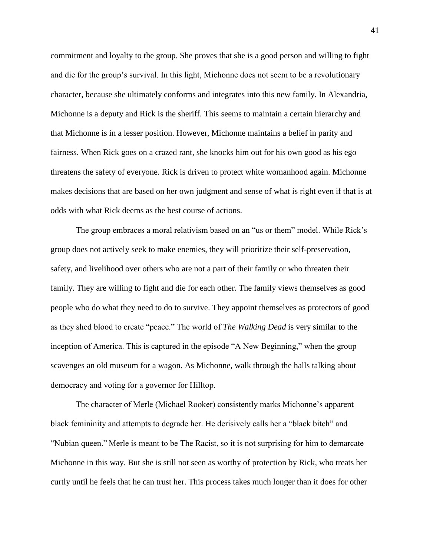commitment and loyalty to the group. She proves that she is a good person and willing to fight and die for the group's survival. In this light, Michonne does not seem to be a revolutionary character, because she ultimately conforms and integrates into this new family. In Alexandria, Michonne is a deputy and Rick is the sheriff. This seems to maintain a certain hierarchy and that Michonne is in a lesser position. However, Michonne maintains a belief in parity and fairness. When Rick goes on a crazed rant, she knocks him out for his own good as his ego threatens the safety of everyone. Rick is driven to protect white womanhood again. Michonne makes decisions that are based on her own judgment and sense of what is right even if that is at odds with what Rick deems as the best course of actions.

The group embraces a moral relativism based on an "us or them" model. While Rick's group does not actively seek to make enemies, they will prioritize their self-preservation, safety, and livelihood over others who are not a part of their family or who threaten their family. They are willing to fight and die for each other. The family views themselves as good people who do what they need to do to survive. They appoint themselves as protectors of good as they shed blood to create "peace." The world of *The Walking Dead* is very similar to the inception of America. This is captured in the episode "A New Beginning," when the group scavenges an old museum for a wagon. As Michonne, walk through the halls talking about democracy and voting for a governor for Hilltop. 

The character of Merle (Michael Rooker) consistently marks Michonne's apparent black femininity and attempts to degrade her. He derisively calls her a "black bitch" and "Nubian queen." Merle is meant to be The Racist, so it is not surprising for him to demarcate Michonne in this way. But she is still not seen as worthy of protection by Rick, who treats her curtly until he feels that he can trust her. This process takes much longer than it does for other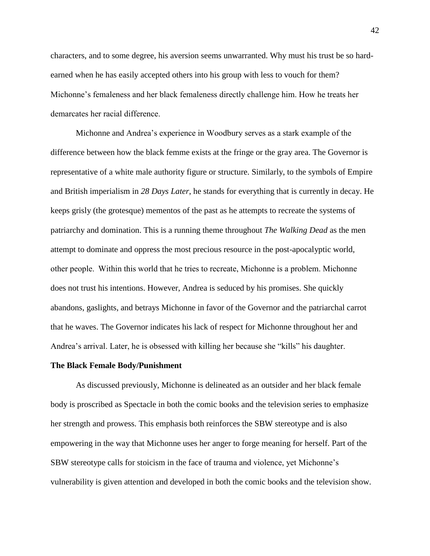characters, and to some degree, his aversion seems unwarranted. Why must his trust be so hardearned when he has easily accepted others into his group with less to vouch for them? Michonne's femaleness and her black femaleness directly challenge him. How he treats her demarcates her racial difference.  

Michonne and Andrea's experience in Woodbury serves as a stark example of the difference between how the black femme exists at the fringe or the gray area. The Governor is representative of a white male authority figure or structure. Similarly, to the symbols of Empire and British imperialism in *28 Days Later*, he stands for everything that is currently in decay. He keeps grisly (the grotesque) mementos of the past as he attempts to recreate the systems of patriarchy and domination. This is a running theme throughout *The Walking Dead* as the men attempt to dominate and oppress the most precious resource in the post-apocalyptic world, other people.  Within this world that he tries to recreate, Michonne is a problem. Michonne does not trust his intentions. However, Andrea is seduced by his promises. She quickly abandons, gaslights, and betrays Michonne in favor of the Governor and the patriarchal carrot that he waves. The Governor indicates his lack of respect for Michonne throughout her and Andrea's arrival. Later, he is obsessed with killing her because she "kills" his daughter.   

#### **The Black Female Body/Punishment**

As discussed previously, Michonne is delineated as an outsider and her black female body is proscribed as Spectacle in both the comic books and the television series to emphasize her strength and prowess. This emphasis both reinforces the SBW stereotype and is also empowering in the way that Michonne uses her anger to forge meaning for herself. Part of the SBW stereotype calls for stoicism in the face of trauma and violence, yet Michonne's vulnerability is given attention and developed in both the comic books and the television show.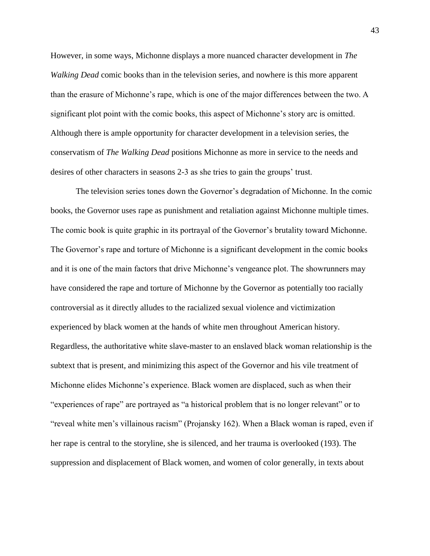However, in some ways, Michonne displays a more nuanced character development in *The Walking Dead* comic books than in the television series, and nowhere is this more apparent than the erasure of Michonne's rape, which is one of the major differences between the two. A significant plot point with the comic books, this aspect of Michonne's story arc is omitted. Although there is ample opportunity for character development in a television series, the conservatism of *The Walking Dead* positions Michonne as more in service to the needs and desires of other characters in seasons 2-3 as she tries to gain the groups' trust.   

The television series tones down the Governor's degradation of Michonne. In the comic books, the Governor uses rape as punishment and retaliation against Michonne multiple times. The comic book is quite graphic in its portrayal of the Governor's brutality toward Michonne. The Governor's rape and torture of Michonne is a significant development in the comic books and it is one of the main factors that drive Michonne's vengeance plot. The showrunners may have considered the rape and torture of Michonne by the Governor as potentially too racially controversial as it directly alludes to the racialized sexual violence and victimization experienced by black women at the hands of white men throughout American history. Regardless, the authoritative white slave-master to an enslaved black woman relationship is the subtext that is present, and minimizing this aspect of the Governor and his vile treatment of Michonne elides Michonne's experience. Black women are displaced, such as when their "experiences of rape" are portrayed as "a historical problem that is no longer relevant" or to "reveal white men's villainous racism" (Projansky 162). When a Black woman is raped, even if her rape is central to the storyline, she is silenced, and her trauma is overlooked (193). The suppression and displacement of Black women, and women of color generally, in texts about

43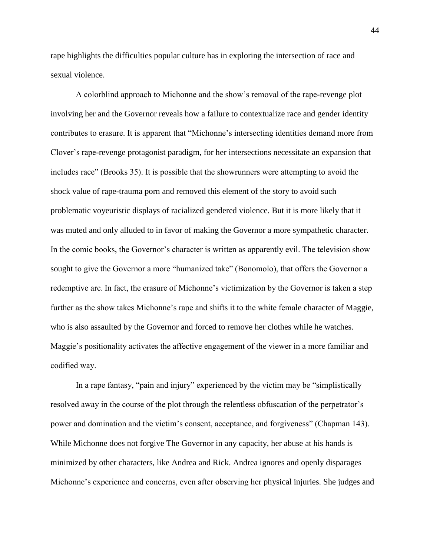rape highlights the difficulties popular culture has in exploring the intersection of race and sexual violence.

A colorblind approach to Michonne and the show's removal of the rape-revenge plot involving her and the Governor reveals how a failure to contextualize race and gender identity contributes to erasure. It is apparent that "Michonne's intersecting identities demand more from Clover's rape-revenge protagonist paradigm, for her intersections necessitate an expansion that includes race" (Brooks 35). It is possible that the showrunners were attempting to avoid the shock value of rape-trauma porn and removed this element of the story to avoid such problematic voyeuristic displays of racialized gendered violence. But it is more likely that it was muted and only alluded to in favor of making the Governor a more sympathetic character. In the comic books, the Governor's character is written as apparently evil. The television show sought to give the Governor a more "humanized take" (Bonomolo), that offers the Governor a redemptive arc. In fact, the erasure of Michonne's victimization by the Governor is taken a step further as the show takes Michonne's rape and shifts it to the white female character of Maggie, who is also assaulted by the Governor and forced to remove her clothes while he watches. Maggie's positionality activates the affective engagement of the viewer in a more familiar and codified way.   

In a rape fantasy, "pain and injury" experienced by the victim may be "simplistically resolved away in the course of the plot through the relentless obfuscation of the perpetrator's power and domination and the victim's consent, acceptance, and forgiveness" (Chapman 143). While Michonne does not forgive The Governor in any capacity, her abuse at his hands is minimized by other characters, like Andrea and Rick. Andrea ignores and openly disparages Michonne's experience and concerns, even after observing her physical injuries. She judges and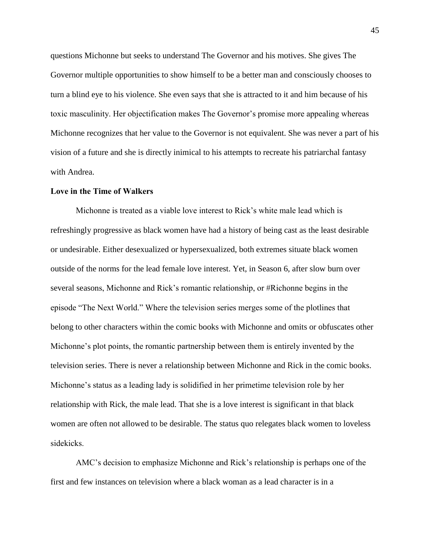questions Michonne but seeks to understand The Governor and his motives. She gives The Governor multiple opportunities to show himself to be a better man and consciously chooses to turn a blind eye to his violence. She even says that she is attracted to it and him because of his toxic masculinity. Her objectification makes The Governor's promise more appealing whereas Michonne recognizes that her value to the Governor is not equivalent. She was never a part of his vision of a future and she is directly inimical to his attempts to recreate his patriarchal fantasy with Andrea.

# **Love in the Time of Walkers**

Michonne is treated as a viable love interest to Rick's white male lead which is refreshingly progressive as black women have had a history of being cast as the least desirable or undesirable. Either desexualized or hypersexualized, both extremes situate black women outside of the norms for the lead female love interest. Yet, in Season 6, after slow burn over several seasons, Michonne and Rick's romantic relationship, or #Richonne begins in the episode "The Next World." Where the television series merges some of the plotlines that belong to other characters within the comic books with Michonne and omits or obfuscates other Michonne's plot points, the romantic partnership between them is entirely invented by the television series. There is never a relationship between Michonne and Rick in the comic books. Michonne's status as a leading lady is solidified in her primetime television role by her relationship with Rick, the male lead. That she is a love interest is significant in that black women are often not allowed to be desirable. The status quo relegates black women to loveless sidekicks. 

AMC's decision to emphasize Michonne and Rick's relationship is perhaps one of the first and few instances on television where a black woman as a lead character is in a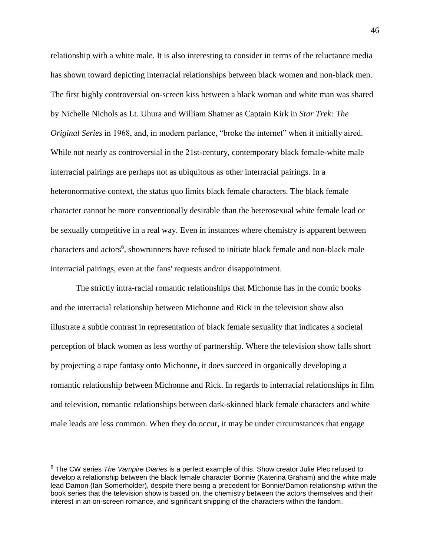relationship with a white male. It is also interesting to consider in terms of the reluctance media has shown toward depicting interracial relationships between black women and non-black men. The first highly controversial on-screen kiss between a black woman and white man was shared by Nichelle Nichols as Lt. Uhura and William Shatner as Captain Kirk in *Star Trek: The Original Series* in 1968, and, in modern parlance, "broke the internet" when it initially aired. While not nearly as controversial in the 21st-century, contemporary black female-white male interracial pairings are perhaps not as ubiquitous as other interracial pairings. In a heteronormative context, the status quo limits black female characters. The black female character cannot be more conventionally desirable than the heterosexual white female lead or be sexually competitive in a real way. Even in instances where chemistry is apparent between characters and actors<sup>6</sup>, showrunners have refused to initiate black female and non-black male interracial pairings, even at the fans' requests and/or disappointment. 

The strictly intra-racial romantic relationships that Michonne has in the comic books and the interracial relationship between Michonne and Rick in the television show also illustrate a subtle contrast in representation of black female sexuality that indicates a societal perception of black women as less worthy of partnership. Where the television show falls short by projecting a rape fantasy onto Michonne, it does succeed in organically developing a romantic relationship between Michonne and Rick. In regards to interracial relationships in film and television, romantic relationships between dark-skinned black female characters and white male leads are less common. When they do occur, it may be under circumstances that engage

 $\overline{a}$ 

<sup>6</sup> The CW series *The Vampire Diaries* is a perfect example of this. Show creator Julie Plec refused to develop a relationship between the black female character Bonnie (Katerina Graham) and the white male lead Damon (Ian Somerholder), despite there being a precedent for Bonnie/Damon relationship within the book series that the television show is based on, the chemistry between the actors themselves and their interest in an on-screen romance, and significant shipping of the characters within the fandom.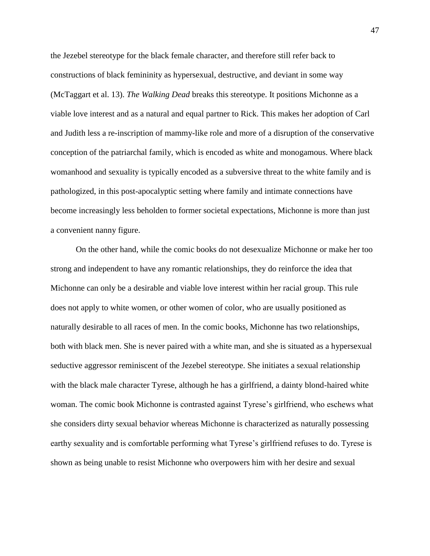the Jezebel stereotype for the black female character, and therefore still refer back to constructions of black femininity as hypersexual, destructive, and deviant in some way (McTaggart et al. 13). *The Walking Dead* breaks this stereotype. It positions Michonne as a viable love interest and as a natural and equal partner to Rick. This makes her adoption of Carl and Judith less a re-inscription of mammy-like role and more of a disruption of the conservative conception of the patriarchal family, which is encoded as white and monogamous. Where black womanhood and sexuality is typically encoded as a subversive threat to the white family and is pathologized, in this post-apocalyptic setting where family and intimate connections have become increasingly less beholden to former societal expectations, Michonne is more than just a convenient nanny figure.

On the other hand, while the comic books do not desexualize Michonne or make her too strong and independent to have any romantic relationships, they do reinforce the idea that Michonne can only be a desirable and viable love interest within her racial group. This rule does not apply to white women, or other women of color, who are usually positioned as naturally desirable to all races of men. In the comic books, Michonne has two relationships, both with black men. She is never paired with a white man, and she is situated as a hypersexual seductive aggressor reminiscent of the Jezebel stereotype. She initiates a sexual relationship with the black male character Tyrese, although he has a girlfriend, a dainty blond-haired white woman. The comic book Michonne is contrasted against Tyrese's girlfriend, who eschews what she considers dirty sexual behavior whereas Michonne is characterized as naturally possessing earthy sexuality and is comfortable performing what Tyrese's girlfriend refuses to do. Tyrese is shown as being unable to resist Michonne who overpowers him with her desire and sexual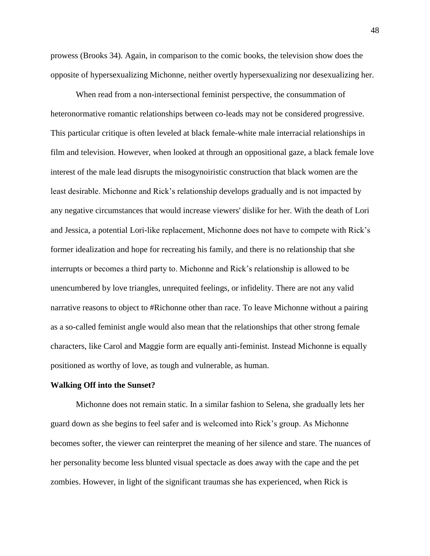prowess (Brooks 34). Again, in comparison to the comic books, the television show does the opposite of hypersexualizing Michonne, neither overtly hypersexualizing nor desexualizing her.

When read from a non-intersectional feminist perspective, the consummation of heteronormative romantic relationships between co-leads may not be considered progressive. This particular critique is often leveled at black female-white male interracial relationships in film and television. However, when looked at through an oppositional gaze, a black female love interest of the male lead disrupts the misogynoiristic construction that black women are the least desirable. Michonne and Rick's relationship develops gradually and is not impacted by any negative circumstances that would increase viewers' dislike for her. With the death of Lori and Jessica, a potential Lori-like replacement, Michonne does not have to compete with Rick's former idealization and hope for recreating his family, and there is no relationship that she interrupts or becomes a third party to. Michonne and Rick's relationship is allowed to be unencumbered by love triangles, unrequited feelings, or infidelity. There are not any valid narrative reasons to object to #Richonne other than race. To leave Michonne without a pairing as a so-called feminist angle would also mean that the relationships that other strong female characters, like Carol and Maggie form are equally anti-feminist. Instead Michonne is equally positioned as worthy of love, as tough and vulnerable, as human.

#### **Walking Off into the Sunset?**

Michonne does not remain static. In a similar fashion to Selena, she gradually lets her guard down as she begins to feel safer and is welcomed into Rick's group. As Michonne becomes softer, the viewer can reinterpret the meaning of her silence and stare. The nuances of her personality become less blunted visual spectacle as does away with the cape and the pet zombies. However, in light of the significant traumas she has experienced, when Rick is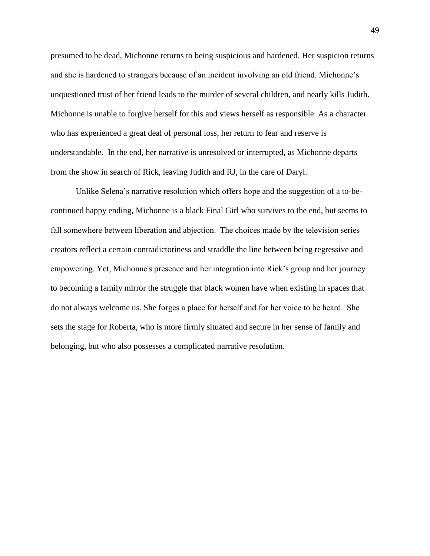presumed to be dead, Michonne returns to being suspicious and hardened. Her suspicion returns and she is hardened to strangers because of an incident involving an old friend. Michonne's unquestioned trust of her friend leads to the murder of several children, and nearly kills Judith. Michonne is unable to forgive herself for this and views herself as responsible. As a character who has experienced a great deal of personal loss, her return to fear and reserve is understandable. In the end, her narrative is unresolved or interrupted, as Michonne departs from the show in search of Rick, leaving Judith and RJ, in the care of Daryl.

Unlike Selena's narrative resolution which offers hope and the suggestion of a to-becontinued happy ending, Michonne is a black Final Girl who survives to the end, but seems to fall somewhere between liberation and abjection.  The choices made by the television series creators reflect a certain contradictoriness and straddle the line between being regressive and empowering. Yet, Michonne's presence and her integration into Rick's group and her journey to becoming a family mirror the struggle that black women have when existing in spaces that do not always welcome us. She forges a place for herself and for her voice to be heard.  She sets the stage for Roberta, who is more firmly situated and secure in her sense of family and belonging, but who also possesses a complicated narrative resolution.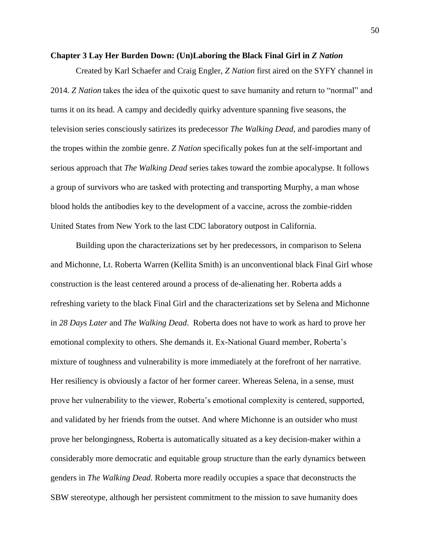#### <span id="page-50-0"></span>**Chapter 3 Lay Her Burden Down: (Un)Laboring the Black Final Girl in** *Z Nation*

Created by Karl Schaefer and Craig Engler, *Z Nation* first aired on the SYFY channel in 2014. *Z Nation* takes the idea of the quixotic quest to save humanity and return to "normal" and turns it on its head. A campy and decidedly quirky adventure spanning five seasons, the television series consciously satirizes its predecessor *The Walking Dead,* and parodies many of the tropes within the zombie genre. *Z Nation* specifically pokes fun at the self-important and serious approach that *The Walking Dead* series takes toward the zombie apocalypse. It follows a group of survivors who are tasked with protecting and transporting Murphy, a man whose blood holds the antibodies key to the development of a vaccine, across the zombie-ridden United States from New York to the last CDC laboratory outpost in California.

Building upon the characterizations set by her predecessors, in comparison to Selena and Michonne, Lt. Roberta Warren (Kellita Smith) is an unconventional black Final Girl whose construction is the least centered around a process of de-alienating her. Roberta adds a refreshing variety to the black Final Girl and the characterizations set by Selena and Michonne in *28 Days Later* and *The Walking Dead*. Roberta does not have to work as hard to prove her emotional complexity to others. She demands it. Ex-National Guard member, Roberta's mixture of toughness and vulnerability is more immediately at the forefront of her narrative. Her resiliency is obviously a factor of her former career. Whereas Selena, in a sense, must prove her vulnerability to the viewer, Roberta's emotional complexity is centered, supported, and validated by her friends from the outset. And where Michonne is an outsider who must prove her belongingness, Roberta is automatically situated as a key decision-maker within a considerably more democratic and equitable group structure than the early dynamics between genders in *The Walking Dead.* Roberta more readily occupies a space that deconstructs the SBW stereotype, although her persistent commitment to the mission to save humanity does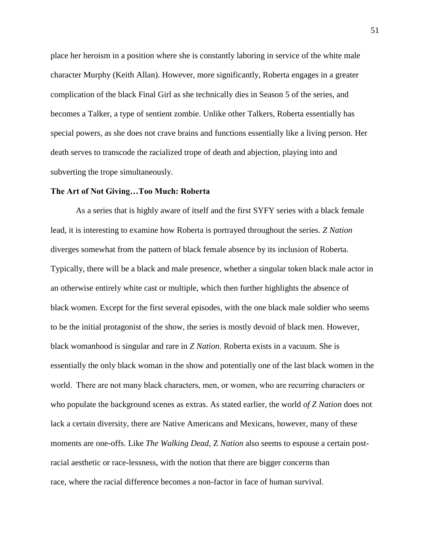place her heroism in a position where she is constantly laboring in service of the white male character Murphy (Keith Allan). However, more significantly, Roberta engages in a greater complication of the black Final Girl as she technically dies in Season 5 of the series, and becomes a Talker, a type of sentient zombie. Unlike other Talkers, Roberta essentially has special powers, as she does not crave brains and functions essentially like a living person. Her death serves to transcode the racialized trope of death and abjection, playing into and subverting the trope simultaneously.

# **The Art of Not Giving…Too Much: Roberta**

As a series that is highly aware of itself and the first SYFY series with a black female lead, it is interesting to examine how Roberta is portrayed throughout the series. *Z Nation* diverges somewhat from the pattern of black female absence by its inclusion of Roberta. Typically, there will be a black and male presence, whether a singular token black male actor in an otherwise entirely white cast or multiple, which then further highlights the absence of black women. Except for the first several episodes, with the one black male soldier who seems to be the initial protagonist of the show, the series is mostly devoid of black men. However, black womanhood is singular and rare in *Z Nation.* Roberta exists in a vacuum. She is essentially the only black woman in the show and potentially one of the last black women in the world.  There are not many black characters, men, or women, who are recurring characters or who populate the background scenes as extras. As stated earlier, the world *of Z Nation* does not lack a certain diversity, there are Native Americans and Mexicans, however, many of these moments are one-offs. Like *The Walking Dead*, Z *Nation* also seems to espouse a certain postracial aesthetic or race-lessness, with the notion that there are bigger concerns than race, where the racial difference becomes a non-factor in face of human survival.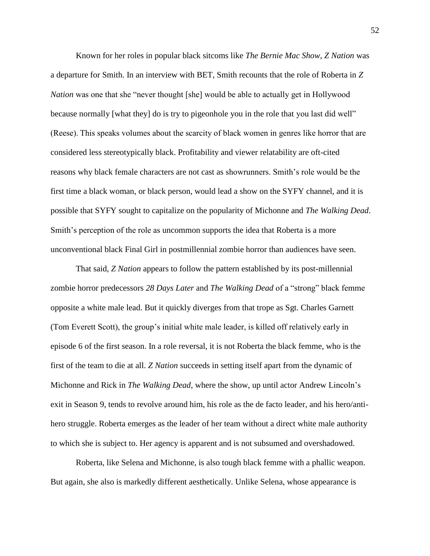Known for her roles in popular black sitcoms like *The Bernie Mac Show*, *Z Nation* was a departure for Smith. In an interview with BET, Smith recounts that the role of Roberta in *Z Nation* was one that she "never thought [she] would be able to actually get in Hollywood because normally [what they] do is try to pigeonhole you in the role that you last did well" (Reese). This speaks volumes about the scarcity of black women in genres like horror that are considered less stereotypically black. Profitability and viewer relatability are oft-cited reasons why black female characters are not cast as showrunners. Smith's role would be the first time a black woman, or black person, would lead a show on the SYFY channel, and it is possible that SYFY sought to capitalize on the popularity of Michonne and *The Walking Dead*. Smith's perception of the role as uncommon supports the idea that Roberta is a more unconventional black Final Girl in postmillennial zombie horror than audiences have seen.

That said, *Z Nation* appears to follow the pattern established by its post-millennial zombie horror predecessors *28 Days Later* and *The Walking Dead* of a "strong" black femme opposite a white male lead. But it quickly diverges from that trope as Sgt. Charles Garnett (Tom Everett Scott), the group's initial white male leader, is killed off relatively early in episode 6 of the first season. In a role reversal, it is not Roberta the black femme, who is the first of the team to die at all. *Z Nation* succeeds in setting itself apart from the dynamic of Michonne and Rick in *The Walking Dead,* where the show, up until actor Andrew Lincoln's exit in Season 9, tends to revolve around him, his role as the de facto leader, and his hero/antihero struggle. Roberta emerges as the leader of her team without a direct white male authority to which she is subject to. Her agency is apparent and is not subsumed and overshadowed.

Roberta, like Selena and Michonne, is also tough black femme with a phallic weapon. But again, she also is markedly different aesthetically. Unlike Selena, whose appearance is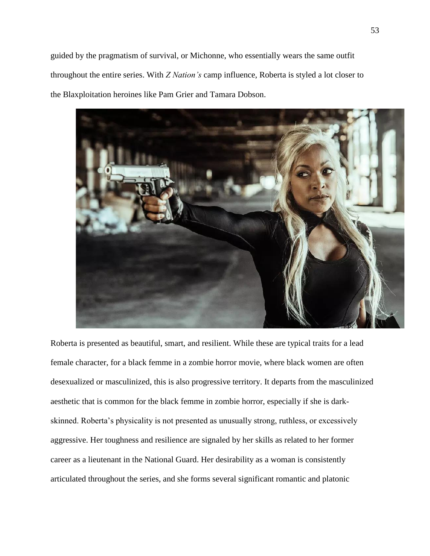guided by the pragmatism of survival, or Michonne, who essentially wears the same outfit throughout the entire series. With *Z Nation's* camp influence, Roberta is styled a lot closer to the Blaxploitation heroines like Pam Grier and Tamara Dobson.



Roberta is presented as beautiful, smart, and resilient. While these are typical traits for a lead female character, for a black femme in a zombie horror movie, where black women are often desexualized or masculinized, this is also progressive territory. It departs from the masculinized aesthetic that is common for the black femme in zombie horror, especially if she is darkskinned. Roberta's physicality is not presented as unusually strong, ruthless, or excessively aggressive. Her toughness and resilience are signaled by her skills as related to her former career as a lieutenant in the National Guard. Her desirability as a woman is consistently articulated throughout the series, and she forms several significant romantic and platonic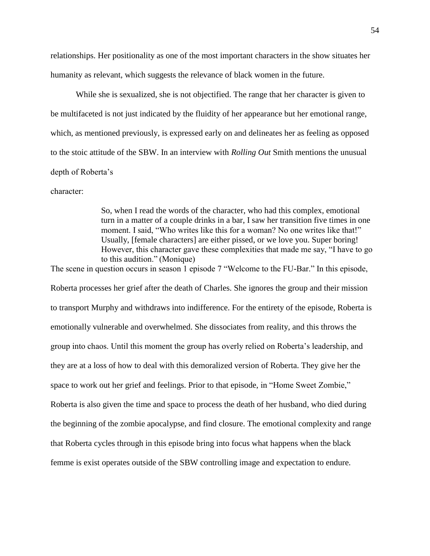relationships. Her positionality as one of the most important characters in the show situates her humanity as relevant, which suggests the relevance of black women in the future.

While she is sexualized, she is not objectified. The range that her character is given to be multifaceted is not just indicated by the fluidity of her appearance but her emotional range, which, as mentioned previously, is expressed early on and delineates her as feeling as opposed to the stoic attitude of the SBW. In an interview with *Rolling Out* Smith mentions the unusual depth of Roberta's

character:   

So, when I read the words of the character, who had this complex, emotional turn in a matter of a couple drinks in a bar, I saw her transition five times in one moment. I said, "Who writes like this for a woman? No one writes like that!" Usually, [female characters] are either pissed, or we love you. Super boring! However, this character gave these complexities that made me say, "I have to go to this audition." (Monique)

The scene in question occurs in season 1 episode 7 "Welcome to the FU-Bar." In this episode,

Roberta processes her grief after the death of Charles. She ignores the group and their mission to transport Murphy and withdraws into indifference. For the entirety of the episode, Roberta is emotionally vulnerable and overwhelmed. She dissociates from reality, and this throws the group into chaos. Until this moment the group has overly relied on Roberta's leadership, and they are at a loss of how to deal with this demoralized version of Roberta. They give her the space to work out her grief and feelings. Prior to that episode, in "Home Sweet Zombie," Roberta is also given the time and space to process the death of her husband, who died during the beginning of the zombie apocalypse, and find closure. The emotional complexity and range that Roberta cycles through in this episode bring into focus what happens when the black femme is exist operates outside of the SBW controlling image and expectation to endure.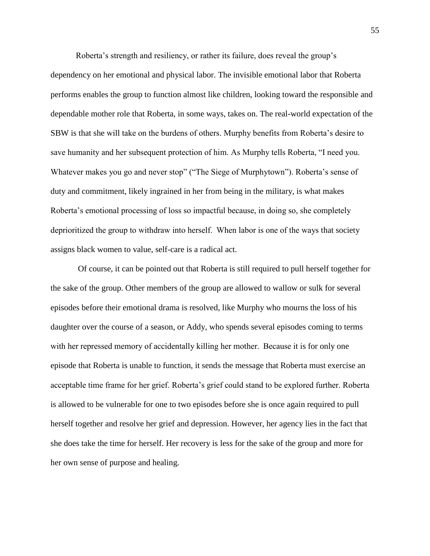Roberta's strength and resiliency, or rather its failure, does reveal the group's dependency on her emotional and physical labor. The invisible emotional labor that Roberta performs enables the group to function almost like children, looking toward the responsible and dependable mother role that Roberta, in some ways, takes on. The real-world expectation of the SBW is that she will take on the burdens of others. Murphy benefits from Roberta's desire to save humanity and her subsequent protection of him. As Murphy tells Roberta, "I need you. Whatever makes you go and never stop" ("The Siege of Murphytown"). Roberta's sense of duty and commitment, likely ingrained in her from being in the military, is what makes Roberta's emotional processing of loss so impactful because, in doing so, she completely deprioritized the group to withdraw into herself.  When labor is one of the ways that society assigns black women to value, self-care is a radical act.

Of course, it can be pointed out that Roberta is still required to pull herself together for the sake of the group. Other members of the group are allowed to wallow or sulk for several episodes before their emotional drama is resolved, like Murphy who mourns the loss of his daughter over the course of a season, or Addy, who spends several episodes coming to terms with her repressed memory of accidentally killing her mother.  Because it is for only one episode that Roberta is unable to function, it sends the message that Roberta must exercise an acceptable time frame for her grief. Roberta's grief could stand to be explored further. Roberta is allowed to be vulnerable for one to two episodes before she is once again required to pull herself together and resolve her grief and depression. However, her agency lies in the fact that she does take the time for herself. Her recovery is less for the sake of the group and more for her own sense of purpose and healing.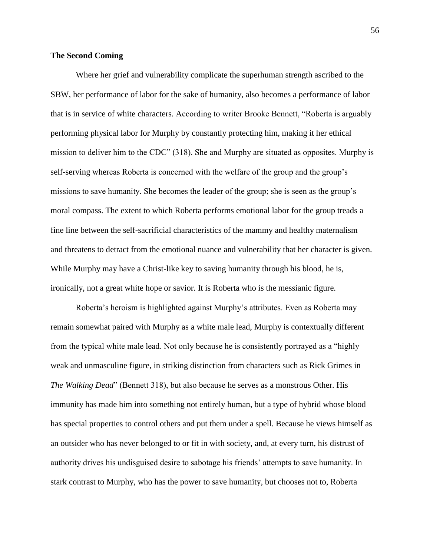# **The Second Coming**

Where her grief and vulnerability complicate the superhuman strength ascribed to the SBW, her performance of labor for the sake of humanity, also becomes a performance of labor that is in service of white characters. According to writer Brooke Bennett, "Roberta is arguably performing physical labor for Murphy by constantly protecting him, making it her ethical mission to deliver him to the CDC" (318). She and Murphy are situated as opposites. Murphy is self-serving whereas Roberta is concerned with the welfare of the group and the group's missions to save humanity. She becomes the leader of the group; she is seen as the group's moral compass. The extent to which Roberta performs emotional labor for the group treads a fine line between the self-sacrificial characteristics of the mammy and healthy maternalism and threatens to detract from the emotional nuance and vulnerability that her character is given. While Murphy may have a Christ-like key to saving humanity through his blood, he is, ironically, not a great white hope or savior. It is Roberta who is the messianic figure.

Roberta's heroism is highlighted against Murphy's attributes. Even as Roberta may remain somewhat paired with Murphy as a white male lead, Murphy is contextually different from the typical white male lead. Not only because he is consistently portrayed as a "highly weak and unmasculine figure, in striking distinction from characters such as Rick Grimes in *The Walking Dead*" (Bennett 318), but also because he serves as a monstrous Other. His immunity has made him into something not entirely human, but a type of hybrid whose blood has special properties to control others and put them under a spell. Because he views himself as an outsider who has never belonged to or fit in with society, and, at every turn, his distrust of authority drives his undisguised desire to sabotage his friends' attempts to save humanity. In stark contrast to Murphy, who has the power to save humanity, but chooses not to, Roberta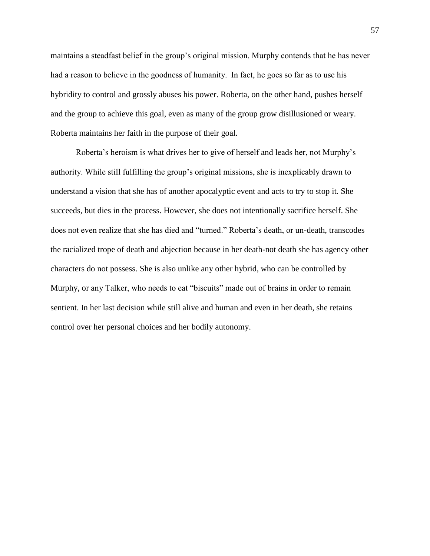maintains a steadfast belief in the group's original mission. Murphy contends that he has never had a reason to believe in the goodness of humanity.  In fact, he goes so far as to use his hybridity to control and grossly abuses his power. Roberta, on the other hand, pushes herself and the group to achieve this goal, even as many of the group grow disillusioned or weary. Roberta maintains her faith in the purpose of their goal.

Roberta's heroism is what drives her to give of herself and leads her, not Murphy's authority. While still fulfilling the group's original missions, she is inexplicably drawn to understand a vision that she has of another apocalyptic event and acts to try to stop it. She succeeds, but dies in the process. However, she does not intentionally sacrifice herself. She does not even realize that she has died and "turned." Roberta's death, or un-death, transcodes the racialized trope of death and abjection because in her death-not death she has agency other characters do not possess. She is also unlike any other hybrid, who can be controlled by Murphy, or any Talker, who needs to eat "biscuits" made out of brains in order to remain sentient. In her last decision while still alive and human and even in her death, she retains control over her personal choices and her bodily autonomy.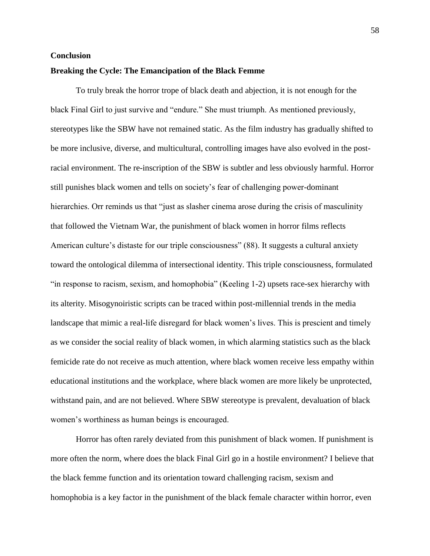# <span id="page-58-0"></span>**Conclusion**

# **Breaking the Cycle: The Emancipation of the Black Femme**

To truly break the horror trope of black death and abjection, it is not enough for the black Final Girl to just survive and "endure." She must triumph. As mentioned previously, stereotypes like the SBW have not remained static. As the film industry has gradually shifted to be more inclusive, diverse, and multicultural, controlling images have also evolved in the postracial environment. The re-inscription of the SBW is subtler and less obviously harmful. Horror still punishes black women and tells on society's fear of challenging power-dominant hierarchies. Orr reminds us that "just as slasher cinema arose during the crisis of masculinity that followed the Vietnam War, the punishment of black women in horror films reflects American culture's distaste for our triple consciousness" (88). It suggests a cultural anxiety toward the ontological dilemma of intersectional identity. This triple consciousness, formulated "in response to racism, sexism, and homophobia" (Keeling 1-2) upsets race-sex hierarchy with its alterity. Misogynoiristic scripts can be traced within post-millennial trends in the media landscape that mimic a real-life disregard for black women's lives. This is prescient and timely as we consider the social reality of black women, in which alarming statistics such as the black femicide rate do not receive as much attention, where black women receive less empathy within educational institutions and the workplace, where black women are more likely be unprotected, withstand pain, and are not believed. Where SBW stereotype is prevalent, devaluation of black women's worthiness as human beings is encouraged.

Horror has often rarely deviated from this punishment of black women. If punishment is more often the norm, where does the black Final Girl go in a hostile environment? I believe that the black femme function and its orientation toward challenging racism, sexism and homophobia is a key factor in the punishment of the black female character within horror, even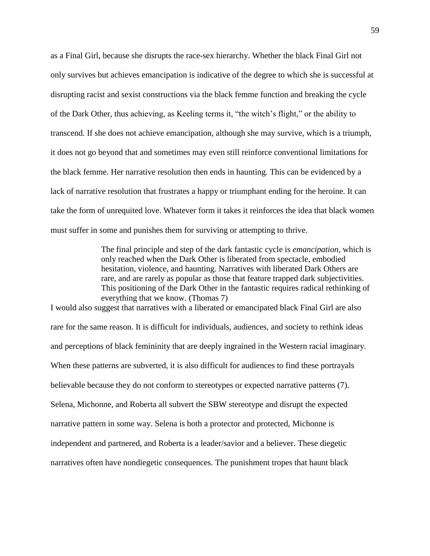as a Final Girl, because she disrupts the race-sex hierarchy. Whether the black Final Girl not only survives but achieves emancipation is indicative of the degree to which she is successful at disrupting racist and sexist constructions via the black femme function and breaking the cycle of the Dark Other, thus achieving, as Keeling terms it, "the witch's flight," or the ability to transcend. If she does not achieve emancipation, although she may survive, which is a triumph, it does not go beyond that and sometimes may even still reinforce conventional limitations for the black femme. Her narrative resolution then ends in haunting. This can be evidenced by a lack of narrative resolution that frustrates a happy or triumphant ending for the heroine. It can take the form of unrequited love. Whatever form it takes it reinforces the idea that black women must suffer in some and punishes them for surviving or attempting to thrive.

> The final principle and step of the dark fantastic cycle is *emancipation*, which is only reached when the Dark Other is liberated from spectacle, embodied hesitation, violence, and haunting. Narratives with liberated Dark Others are rare, and are rarely as popular as those that feature trapped dark subjectivities. This positioning of the Dark Other in the fantastic requires radical rethinking of everything that we know. (Thomas 7)

I would also suggest that narratives with a liberated or emancipated black Final Girl are also rare for the same reason. It is difficult for individuals, audiences, and society to rethink ideas and perceptions of black femininity that are deeply ingrained in the Western racial imaginary. When these patterns are subverted, it is also difficult for audiences to find these portrayals believable because they do not conform to stereotypes or expected narrative patterns (7). Selena, Michonne, and Roberta all subvert the SBW stereotype and disrupt the expected narrative pattern in some way. Selena is both a protector and protected, Michonne is independent and partnered, and Roberta is a leader/savior and a believer. These diegetic narratives often have nondiegetic consequences. The punishment tropes that haunt black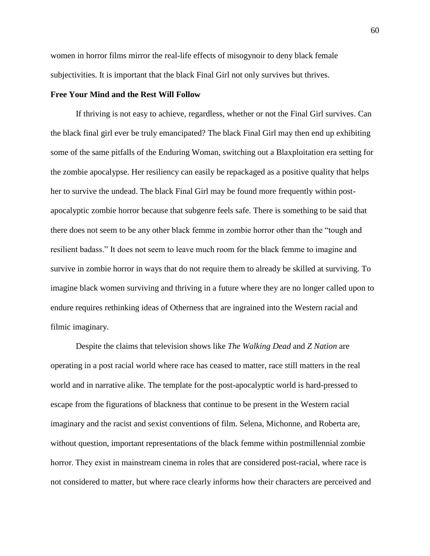women in horror films mirror the real-life effects of misogynoir to deny black female subjectivities. It is important that the black Final Girl not only survives but thrives.

#### **Free Your Mind and the Rest Will Follow**

If thriving is not easy to achieve, regardless, whether or not the Final Girl survives. Can the black final girl ever be truly emancipated? The black Final Girl may then end up exhibiting some of the same pitfalls of the Enduring Woman, switching out a Blaxploitation era setting for the zombie apocalypse. Her resiliency can easily be repackaged as a positive quality that helps her to survive the undead. The black Final Girl may be found more frequently within postapocalyptic zombie horror because that subgenre feels safe. There is something to be said that there does not seem to be any other black femme in zombie horror other than the "tough and resilient badass." It does not seem to leave much room for the black femme to imagine and survive in zombie horror in ways that do not require them to already be skilled at surviving. To imagine black women surviving and thriving in a future where they are no longer called upon to endure requires rethinking ideas of Otherness that are ingrained into the Western racial and filmic imaginary.

Despite the claims that television shows like *The Walking Dead* and *Z Nation* are operating in a post racial world where race has ceased to matter, race still matters in the real world and in narrative alike. The template for the post-apocalyptic world is hard-pressed to escape from the figurations of blackness that continue to be present in the Western racial imaginary and the racist and sexist conventions of film. Selena, Michonne, and Roberta are, without question, important representations of the black femme within postmillennial zombie horror. They exist in mainstream cinema in roles that are considered post-racial, where race is not considered to matter, but where race clearly informs how their characters are perceived and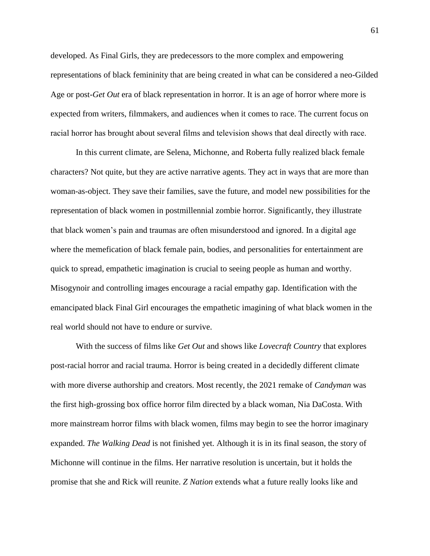developed. As Final Girls, they are predecessors to the more complex and empowering representations of black femininity that are being created in what can be considered a neo-Gilded Age or post-*Get Out* era of black representation in horror. It is an age of horror where more is expected from writers, filmmakers, and audiences when it comes to race. The current focus on racial horror has brought about several films and television shows that deal directly with race.  

In this current climate, are Selena, Michonne, and Roberta fully realized black female characters? Not quite, but they are active narrative agents. They act in ways that are more than woman-as-object. They save their families, save the future, and model new possibilities for the representation of black women in postmillennial zombie horror. Significantly, they illustrate that black women's pain and traumas are often misunderstood and ignored. In a digital age where the memefication of black female pain, bodies, and personalities for entertainment are quick to spread, empathetic imagination is crucial to seeing people as human and worthy. Misogynoir and controlling images encourage a racial empathy gap. Identification with the emancipated black Final Girl encourages the empathetic imagining of what black women in the real world should not have to endure or survive.

With the success of films like *Get Out* and shows like *Lovecraft Country* that explores post-racial horror and racial trauma. Horror is being created in a decidedly different climate with more diverse authorship and creators. Most recently, the 2021 remake of *Candyman* was the first high-grossing box office horror film directed by a black woman, Nia DaCosta. With more mainstream horror films with black women, films may begin to see the horror imaginary expanded. *The Walking Dead* is not finished yet. Although it is in its final season, the story of Michonne will continue in the films. Her narrative resolution is uncertain, but it holds the promise that she and Rick will reunite. *Z Nation* extends what a future really looks like and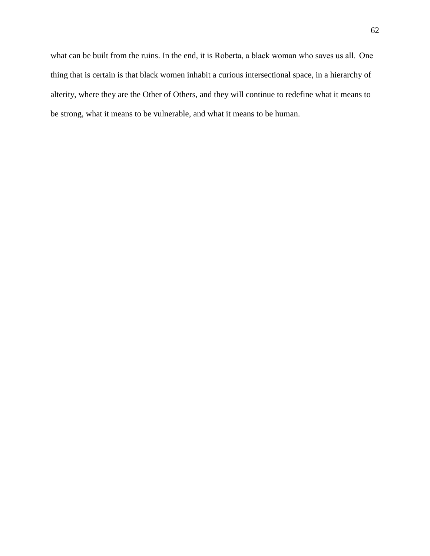what can be built from the ruins. In the end, it is Roberta, a black woman who saves us all.  One thing that is certain is that black women inhabit a curious intersectional space, in a hierarchy of alterity, where they are the Other of Others, and they will continue to redefine what it means to be strong, what it means to be vulnerable, and what it means to be human.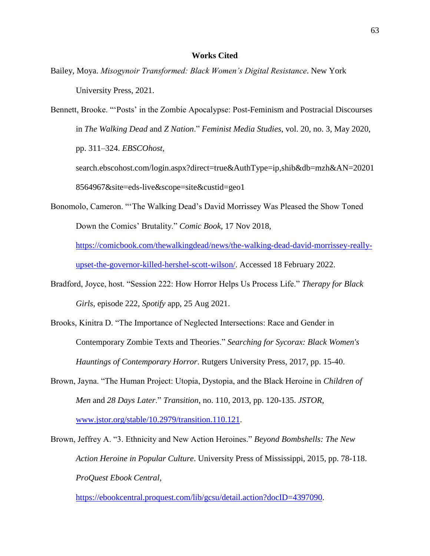# **Works Cited**

<span id="page-63-0"></span>Bailey, Moya. *Misogynoir Transformed: Black Women's Digital Resistance*. New York University Press, 2021.

Bennett, Brooke. "'Posts' in the Zombie Apocalypse: Post-Feminism and Postracial Discourses in *The Walking Dead* and *Z Nation*." *Feminist Media Studies*, vol. 20, no. 3, May 2020, pp. 311–324. *EBSCOhost*,

search.ebscohost.com/login.aspx?direct=true&AuthType=ip,shib&db=mzh&AN=20201 8564967&site=eds-live&scope=site&custid=geo1

Bonomolo, Cameron. "'The Walking Dead's David Morrissey Was Pleased the Show Toned Down the Comics' Brutality." *Comic Book*, 17 Nov 2018[,](https://comicbook.com/thewalkingdead/news/the-walking-dead-david-morrissey-really-upset-the-governor-killed-hershel-scott-wilson/)

[https://comicbook.com/thewalkingdead/news/the-walking-dead-david-morrissey-really](https://comicbook.com/thewalkingdead/news/the-walking-dead-david-morrissey-really-upset-the-governor-killed-hershel-scott-wilson/)[upset-the-governor-killed-hershel-scott-wilson/.](https://comicbook.com/thewalkingdead/news/the-walking-dead-david-morrissey-really-upset-the-governor-killed-hershel-scott-wilson/) Accessed 18 February 2022[.](https://www.thewrap.com/walking-dead-star-danai-gurira-talks-michonne-final-episode/)

- Bradford, Joyce, host. "Session 222: How Horror Helps Us Process Life." *Therapy for Black Girls*, episode 222, *Spotify* app, 25 Aug 2021.
- Brooks, Kinitra D. "The Importance of Neglected Intersections: Race and Gender in Contemporary Zombie Texts and Theories." *Searching for Sycorax: Black Women's Hauntings of Contemporary Horror*. Rutgers University Press, 2017, pp. 15-40.
- Brown, Jayna. "The Human Project: Utopia, Dystopia, and the Black Heroine in *Children of Men* and *28 Days Later*." *Transition*, no. 110, 2013, pp. 120-135. *JSTOR*, www.jstor.org/stable/10.2979/transition.110.121.
- Brown, Jeffrey A. "3. Ethnicity and New Action Heroines." *Beyond Bombshells: The New Action Heroine in Popular Culture*. University Press of Mississippi, 2015, pp. 78-118. *ProQuest Ebook Central*[,](https://ebookcentral.proquest.com/lib/gcsu/detail.action?docID=4397090)

[https://ebookcentral.proquest.com/lib/gcsu/detail.action?docID=4397090.](https://ebookcentral.proquest.com/lib/gcsu/detail.action?docID=4397090)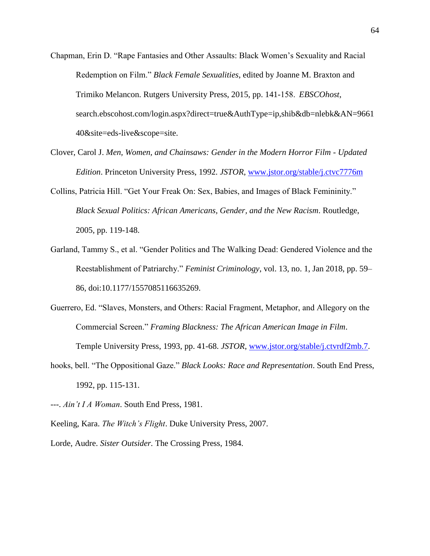- Chapman, Erin D. "Rape Fantasies and Other Assaults: Black Women's Sexuality and Racial Redemption on Film." *Black Female Sexualities*, edited by Joanne M. Braxton and Trimiko Melancon. Rutgers University Press, 2015, pp. 141-158.  *EBSCOhost*, search.ebscohost.com/login.aspx?direct=true&AuthType=ip,shib&db=nlebk&AN=9661 40&site=eds-live&scope=site.
- Clover, Carol J. *Men, Women, and Chainsaws: Gender in the Modern Horror Film - Updated Edition*. Princeton University Press, 1992. *JSTOR*, [www.jstor.org/stable/j.ctvc7776m](http://www.jstor.org/stable/j.ctvc7776m)
- Collins, Patricia Hill. "Get Your Freak On: Sex, Babies, and Images of Black Femininity." *Black Sexual Politics: African Americans, Gender, and the New Racism*. Routledge, 2005, pp. 119-148.
- Garland, Tammy S., et al. "Gender Politics and The Walking Dead: Gendered Violence and the Reestablishment of Patriarchy." *Feminist Criminology*, vol. 13, no. 1, Jan 2018, pp. 59– 86, doi:10.1177/1557085116635269.
- Guerrero, Ed. "Slaves, Monsters, and Others: Racial Fragment, Metaphor, and Allegory on the Commercial Screen." *Framing Blackness: The African American Image in Film*.

Temple University Press, 1993, pp. 41-68. *JSTOR*, www.jstor.org/stable/j.ctvrdf2mb.7.

hooks, bell. "The Oppositional Gaze." *Black Looks: Race and Representation*. South End Press, 1992, pp. 115-131.

---. *Ain't I A Woman*. South End Press, 1981.

Keeling, Kara. *The Witch's Flight*. Duke University Press, 2007.

Lorde, Audre. *Sister Outsider.* The Crossing Press, 1984.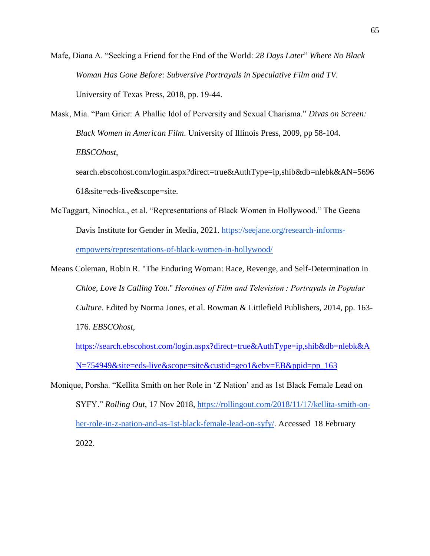Mafe, Diana A. "Seeking a Friend for the End of the World: *28 Days Later*" *Where No Black Woman Has Gone Before: Subversive Portrayals in Speculative Film and TV.*  University of Texas Press, 2018, pp. 19-44.

Mask, Mia. "Pam Grier: A Phallic Idol of Perversity and Sexual Charisma." *Divas on Screen: Black Women in American Film*. University of Illinois Press, 2009, pp 58-104. *EBSCOhost*, search.ebscohost.com/login.aspx?direct=true&AuthType=ip,shib&db=nlebk&AN=5696

61&site=eds-live&scope=site.

- McTaggart, Ninochka., et al. "Representations of Black Women in Hollywood." The Geena Davis Institute for Gender in Media, 2021. [https://seejane.org/research-informs](https://seejane.org/research-informs-empowers/representations-of-black-women-in-hollywood/)[empowers/representations-of-black-women-in-hollywood/](https://seejane.org/research-informs-empowers/representations-of-black-women-in-hollywood/)
- Means Coleman, Robin R. "The Enduring Woman: Race, Revenge, and Self-Determination in *Chloe, Love Is Calling You*." *Heroines of Film and Television : Portrayals in Popular Culture*. Edited by Norma Jones, et al. Rowman & Littlefield Publishers, 2014, pp. 163- 176. *EBSCOhost*[,](https://search.ebscohost.com/login.aspx?direct=true&AuthType=ip,shib&db=nlebk&AN=754949&site=eds-live&scope=site&custid=geo1&ebv=EB&ppid=pp_163)

[https://search.ebscohost.com/login.aspx?direct=true&AuthType=ip,shib&db=nlebk&A](https://search.ebscohost.com/login.aspx?direct=true&AuthType=ip,shib&db=nlebk&AN=754949&site=eds-live&scope=site&custid=geo1&ebv=EB&ppid=pp_163) [N=754949&site=eds-live&scope=site&custid=geo1&ebv=EB&ppid=pp\\_163](https://search.ebscohost.com/login.aspx?direct=true&AuthType=ip,shib&db=nlebk&AN=754949&site=eds-live&scope=site&custid=geo1&ebv=EB&ppid=pp_163)

Monique, Porsha. "Kellita Smith on her Role in 'Z Nation' and as 1st Black Female Lead on SYFY." *Rolling Out*, 17 Nov 2018, [https://rollingout.com/2018/11/17/kellita-smith-on](https://rollingout.com/2018/11/17/kellita-smith-on-her-role-in-z-nation-and-as-1st-black-female-lead-on-syfy/)[her-role-in-z-nation-and-as-1st-black-female-lead-on-syfy/.](https://rollingout.com/2018/11/17/kellita-smith-on-her-role-in-z-nation-and-as-1st-black-female-lead-on-syfy/) Accessed 18 February 2022.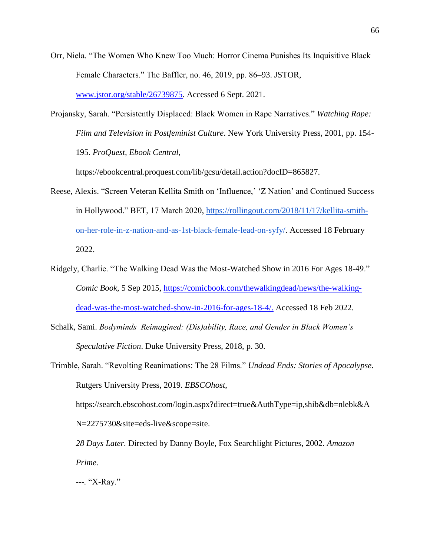- Orr, Niela. "The Women Who Knew Too Much: Horror Cinema Punishes Its Inquisitive Black Female Characters." The Baffler, no. 46, 2019, pp. 86–93. JSTOR, www.jstor.org/stable/26739875. Accessed 6 Sept. 2021.
- Projansky, Sarah. "Persistently Displaced: Black Women in Rape Narratives." *Watching Rape: Film and Television in Postfeminist Culture*. New York University Press, 2001, pp. 154- 195. *ProQuest, Ebook Central*,

https://ebookcentral.proquest.com/lib/gcsu/detail.action?docID=865827.

- Reese, Alexis. "Screen Veteran Kellita Smith on 'Influence,' 'Z Nation' and Continued Success in Hollywood." BET, 17 March 2020, [https://rollingout.com/2018/11/17/kellita-smith](https://rollingout.com/2018/11/17/kellita-smith-on-her-role-in-z-nation-and-as-1st-black-female-lead-on-syfy/)[on-her-role-in-z-nation-and-as-1st-black-female-lead-on-syfy/.](https://rollingout.com/2018/11/17/kellita-smith-on-her-role-in-z-nation-and-as-1st-black-female-lead-on-syfy/) Accessed 18 February 2022.
- Ridgely, Charlie. "The Walking Dead Was the Most-Watched Show in 2016 For Ages 18-49." *Comic Book*, 5 Sep 2015[,](https://comicbook.com/thewalkingdead/news/the-walking-dead-was-the-most-watched-show-in-2016-for-ages-18-4/) [https://comicbook.com/thewalkingdead/news/the-walking](https://comicbook.com/thewalkingdead/news/the-walking-dead-was-the-most-watched-show-in-2016-for-ages-18-4/)[dead-was-the-most-watched-show-in-2016-for-ages-18-4/.](https://comicbook.com/thewalkingdead/news/the-walking-dead-was-the-most-watched-show-in-2016-for-ages-18-4/) Accessed 18 Feb 2022.
- Schalk, Sami. *Bodyminds Reimagined: (Dis)ability, Race, and Gender in Black Women's Speculative Fiction*. Duke University Press, 2018, p. 30.
- Trimble, Sarah. "Revolting Reanimations: The 28 Films." *Undead Ends: Stories of Apocalypse*. Rutgers University Press, 2019. *EBSCOhost*,

https://search.ebscohost.com/login.aspx?direct=true&AuthType=ip,shib&db=nlebk&A N=2275730&site=eds-live&scope=site.

*28 Days Later.* Directed by Danny Boyle, Fox Searchlight Pictures, 2002. *Amazon Prime.*

*---.* "X-Ray."